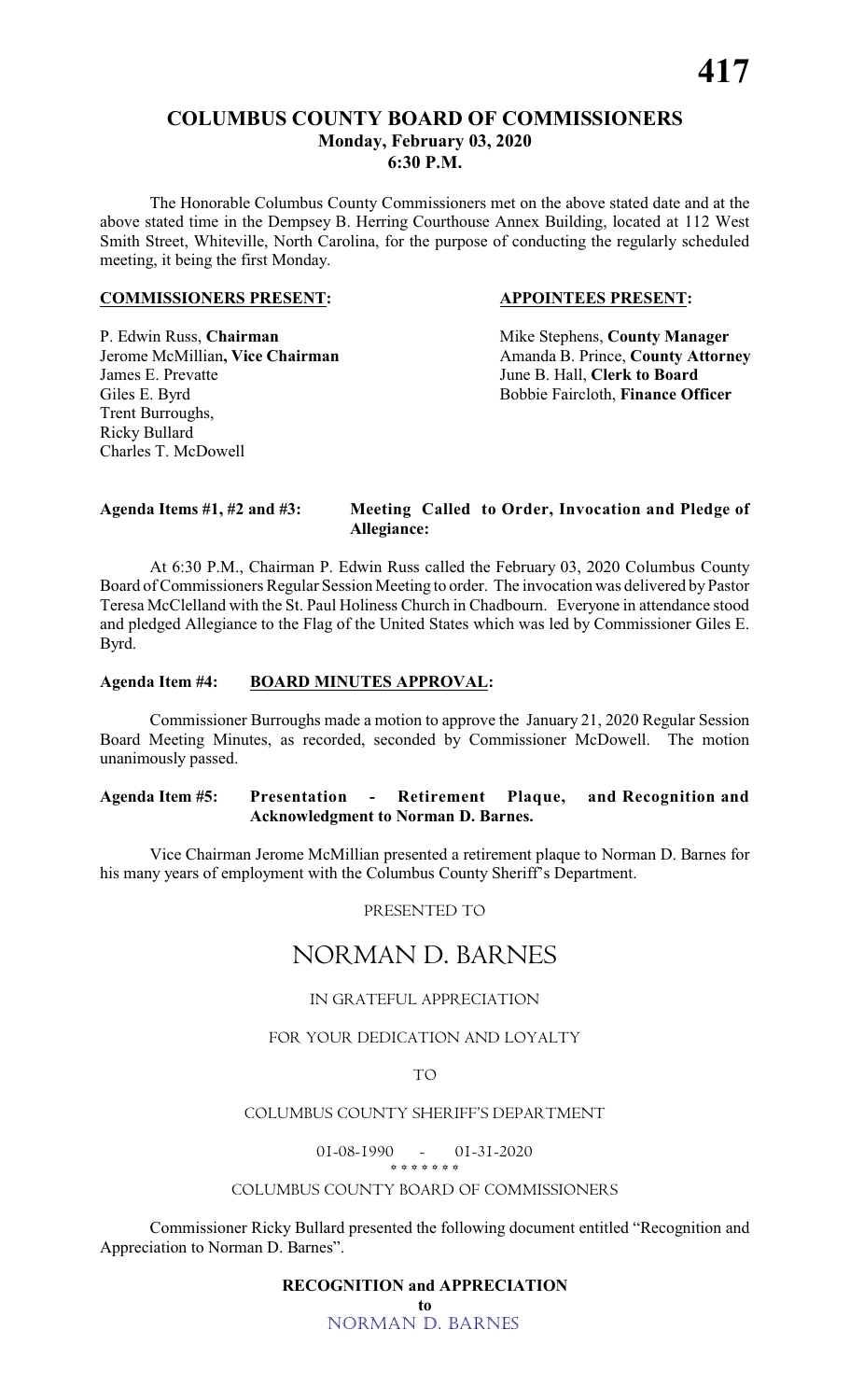The Honorable Columbus County Commissioners met on the above stated date and at the above stated time in the Dempsey B. Herring Courthouse Annex Building, located at 112 West Smith Street, Whiteville, North Carolina, for the purpose of conducting the regularly scheduled meeting, it being the first Monday.

#### **COMMISSIONERS PRESENT: APPOINTEES PRESENT:**

### P. Edwin Russ, **Chairman** Mike Stephens, **County Manager**<br>
Jerome McMillian, Vice Chairman Manager Amanda B. Prince, **County Attorn** James E. Prevatte June B. Hall, **Clerk to Board** Giles E. Byrd Bobbie Faircloth, **Finance Officer** Trent Burroughs, Ricky Bullard Charles T. McDowell

Amanda B. Prince, **County Attorney** 

#### **Agenda Items #1, #2 and #3: Meeting Called to Order, Invocation and Pledge of Allegiance:**

At 6:30 P.M., Chairman P. Edwin Russ called the February 03, 2020 Columbus County Board of Commissioners Regular Session Meeting to order. The invocation was delivered by Pastor Teresa McClelland with the St. Paul Holiness Church in Chadbourn. Everyone in attendance stood and pledged Allegiance to the Flag of the United States which was led by Commissioner Giles E. Byrd.

#### **Agenda Item #4: BOARD MINUTES APPROVAL:**

Commissioner Burroughs made a motion to approve the January 21, 2020 Regular Session Board Meeting Minutes, as recorded, seconded by Commissioner McDowell. The motion unanimously passed.

#### **Agenda Item #5: Presentation - Retirement Plaque, and Recognition and Acknowledgment to Norman D. Barnes.**

Vice Chairman Jerome McMillian presented a retirement plaque to Norman D. Barnes for his many years of employment with the Columbus County Sheriff's Department.

*PRESENTED TO*

## *NORMAN D. BARNES*

#### *IN GRATEFUL APPRECIATION*

#### *FOR YOUR DEDICATION AND LOYALTY*

*TO*

#### *COLUMBUS COUNTY SHERIFF'S DEPARTMENT*

*01-08-1990 - 01-31-2020 \* \* \* \* \* \* \**

#### *COLUMBUS COUNTY BOARD OF COMMISSIONERS*

Commissioner Ricky Bullard presented the following document entitled "Recognition and Appreciation to Norman D. Barnes".

### **RECOGNITION and APPRECIATION**

**to** NORMAN D. BARNES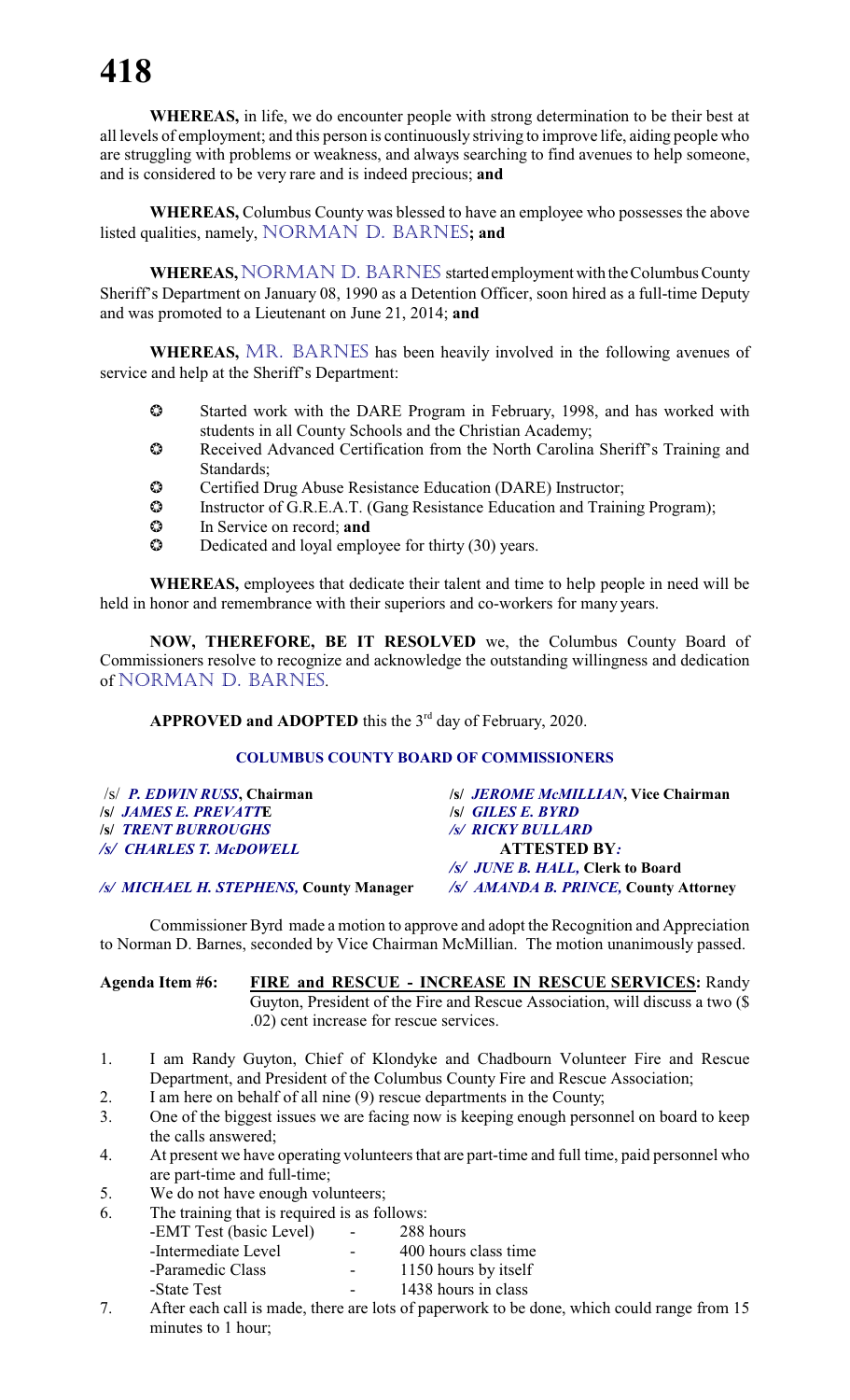**WHEREAS,** in life, we do encounter people with strong determination to be their best at all levels of employment; and this person is continuously striving to improve life, aiding people who are struggling with problems or weakness, and always searching to find avenues to help someone, and is considered to be very rare and is indeed precious; **and**

**WHEREAS,** Columbus County was blessed to have an employee who possesses the above listed qualities, namely, NORMAN D. BARNES**; and**

**WHEREAS, NORMAN D. BARNES started employment with the Columbus County** Sheriff's Department on January 08, 1990 as a Detention Officer, soon hired as a full-time Deputy and was promoted to a Lieutenant on June 21, 2014; **and**

WHEREAS, MR. BARNES has been heavily involved in the following avenues of service and help at the Sheriff's Department:

- Started work with the DARE Program in February, 1998, and has worked with students in all County Schools and the Christian Academy;
- Received Advanced Certification from the North Carolina Sheriff's Training and Standards;
- Certified Drug Abuse Resistance Education (DARE) Instructor;
- Instructor of G.R.E.A.T. (Gang Resistance Education and Training Program);
- In Service on record; **and**
- $\bullet$  Dedicated and loyal employee for thirty (30) years.

**WHEREAS,** employees that dedicate their talent and time to help people in need will be held in honor and remembrance with their superiors and co-workers for many years.

**NOW, THEREFORE, BE IT RESOLVED** we, the Columbus County Board of Commissioners resolve to recognize and acknowledge the outstanding willingness and dedication of NORMAN D. BARNES.

APPROVED and ADOPTED this the 3<sup>rd</sup> day of February, 2020.

#### **COLUMBUS COUNTY BOARD OF COMMISSIONERS**

| $\sqrt{s}$ <i>P. EDWIN RUSS</i> , Chairman | /s/ JEROME McMILLIAN, Vice Chairman   |
|--------------------------------------------|---------------------------------------|
| <b>S JAMES E. PREVATTE</b>                 | <b>S GILES E. BYRD</b>                |
| <b>/s/ TRENT BURROUGHS</b>                 | <b>/s/ RICKY BULLARD</b>              |
| /s/ CHARLES T. McDOWELL                    | <b>ATTESTED BY:</b>                   |
|                                            | /s/ JUNE B. HALL, Clerk to Board      |
| /s/ MICHAEL H. STEPHENS, County Manager    | /s/ AMANDA B. PRINCE, County Attorney |

Commissioner Byrd made a motion to approve and adopt the Recognition and Appreciation to Norman D. Barnes, seconded by Vice Chairman McMillian. The motion unanimously passed.

**Agenda Item #6: FIRE and RESCUE - INCREASE IN RESCUE SERVICES:** Randy Guyton, President of the Fire and Rescue Association, will discuss a two (\$ .02) cent increase for rescue services.

- 1. I am Randy Guyton, Chief of Klondyke and Chadbourn Volunteer Fire and Rescue Department, and President of the Columbus County Fire and Rescue Association;
- 2. I am here on behalf of all nine (9) rescue departments in the County;
- 3. One of the biggest issues we are facing now is keeping enough personnel on board to keep the calls answered;
- 4. At present we have operating volunteers that are part-time and full time, paid personnel who are part-time and full-time;
- 5. We do not have enough volunteers;
- 6. The training that is required is as follows:
	- -EMT Test (basic Level) 288 hours
	-
	- -Intermediate Level 400 hours class time<br>-Paramedic Class 1150 hours by itself 1150 hours by itself
		- -State Test 1438 hours in class
- 7. After each call is made, there are lots of paperwork to be done, which could range from 15 minutes to 1 hour;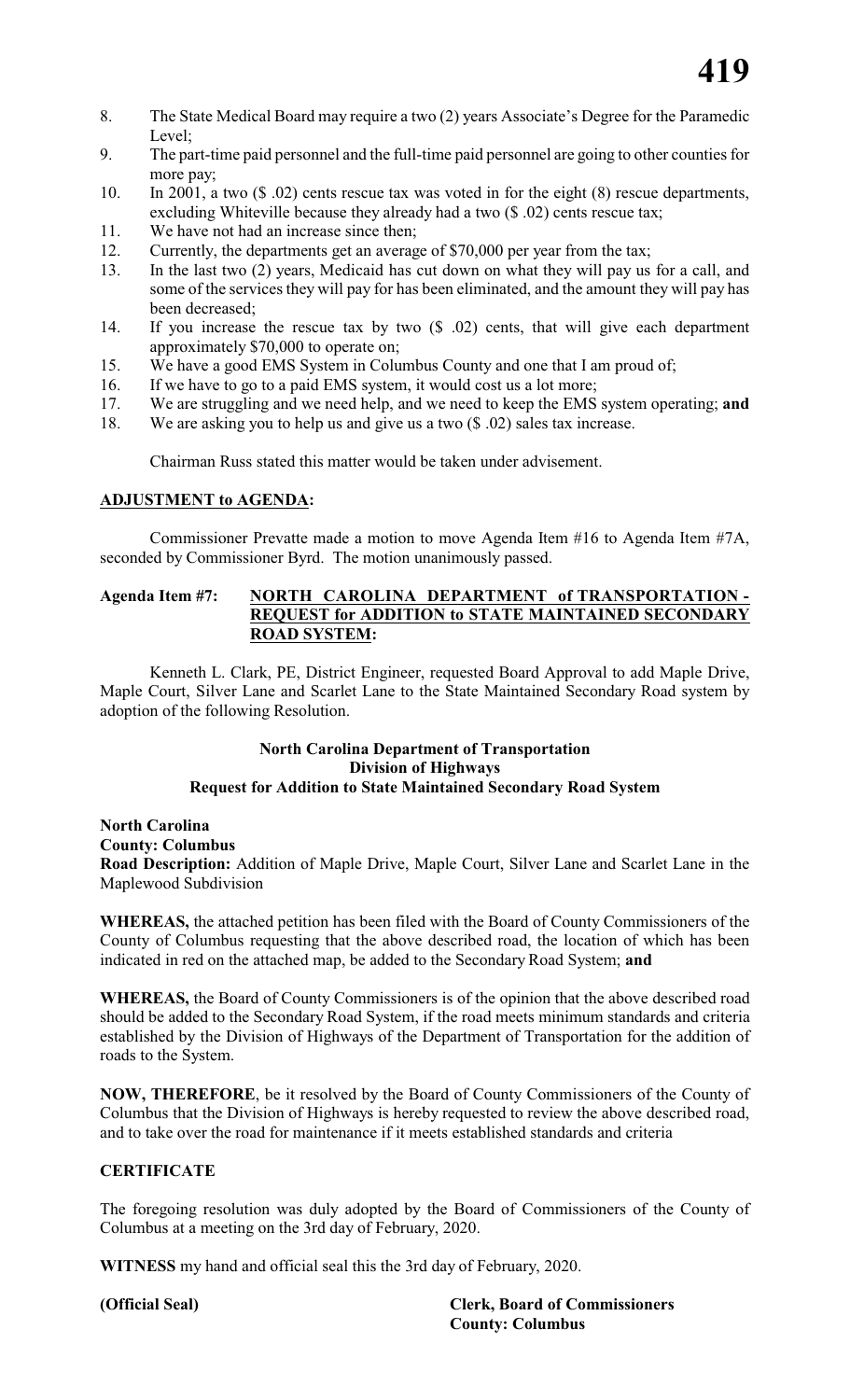- 8. The State Medical Board may require a two (2) years Associate's Degree for the Paramedic Level;
- 9. The part-time paid personnel and the full-time paid personnel are going to other counties for more pay;
- 10. In 2001, a two (\$ .02) cents rescue tax was voted in for the eight (8) rescue departments, excluding Whiteville because they already had a two (\$ .02) cents rescue tax;
- 11. We have not had an increase since then;
- 12. Currently, the departments get an average of \$70,000 per year from the tax;
- 13. In the last two (2) years, Medicaid has cut down on what they will pay us for a call, and some of the services they will pay for has been eliminated, and the amount they will pay has been decreased;
- 14. If you increase the rescue tax by two (\$ .02) cents, that will give each department approximately \$70,000 to operate on;
- 15. We have a good EMS System in Columbus County and one that I am proud of;
- 16. If we have to go to a paid EMS system, it would cost us a lot more;
- 17. We are struggling and we need help, and we need to keep the EMS system operating; **and**
- 18. We are asking you to help us and give us a two (\$ .02) sales tax increase.

Chairman Russ stated this matter would be taken under advisement.

#### **ADJUSTMENT to AGENDA:**

Commissioner Prevatte made a motion to move Agenda Item #16 to Agenda Item #7A, seconded by Commissioner Byrd. The motion unanimously passed.

#### **Agenda Item #7: NORTH CAROLINA DEPARTMENT of TRANSPORTATION - REQUEST for ADDITION to STATE MAINTAINED SECONDARY ROAD SYSTEM:**

Kenneth L. Clark, PE, District Engineer, requested Board Approval to add Maple Drive, Maple Court, Silver Lane and Scarlet Lane to the State Maintained Secondary Road system by adoption of the following Resolution.

#### **North Carolina Department of Transportation Division of Highways Request for Addition to State Maintained Secondary Road System**

**North Carolina County: Columbus Road Description:** Addition of Maple Drive, Maple Court, Silver Lane and Scarlet Lane in the Maplewood Subdivision

**WHEREAS,** the attached petition has been filed with the Board of County Commissioners of the County of Columbus requesting that the above described road, the location of which has been indicated in red on the attached map, be added to the Secondary Road System; **and**

**WHEREAS,** the Board of County Commissioners is of the opinion that the above described road should be added to the Secondary Road System, if the road meets minimum standards and criteria established by the Division of Highways of the Department of Transportation for the addition of roads to the System.

**NOW, THEREFORE**, be it resolved by the Board of County Commissioners of the County of Columbus that the Division of Highways is hereby requested to review the above described road, and to take over the road for maintenance if it meets established standards and criteria

#### **CERTIFICATE**

The foregoing resolution was duly adopted by the Board of Commissioners of the County of Columbus at a meeting on the 3rd day of February, 2020.

**WITNESS** my hand and official seal this the 3rd day of February, 2020.

**(Official Seal) Clerk, Board of Commissioners County: Columbus**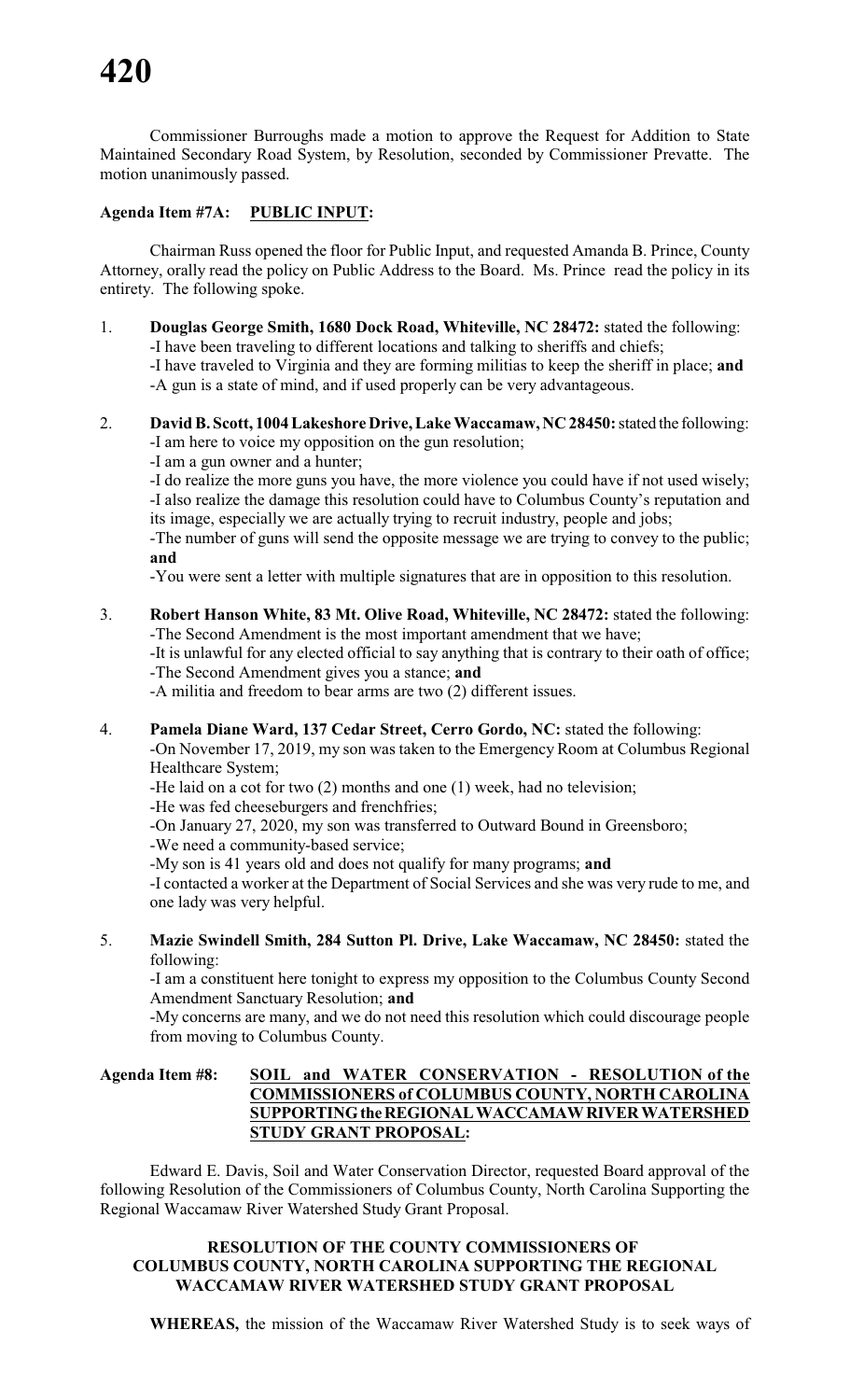Commissioner Burroughs made a motion to approve the Request for Addition to State Maintained Secondary Road System, by Resolution, seconded by Commissioner Prevatte. The motion unanimously passed.

#### **Agenda Item #7A: PUBLIC INPUT:**

Chairman Russ opened the floor for Public Input, and requested Amanda B. Prince, County Attorney, orally read the policy on Public Address to the Board. Ms. Prince read the policy in its entirety. The following spoke.

- 1. **Douglas George Smith, 1680 Dock Road, Whiteville, NC 28472:** stated the following: -I have been traveling to different locations and talking to sheriffs and chiefs; -I have traveled to Virginia and they are forming militias to keep the sheriff in place; **and** -A gun is a state of mind, and if used properly can be very advantageous.
- 2. **David B. Scott, 1004 Lakeshore Drive, Lake Waccamaw, NC 28450:**stated the following: -I am here to voice my opposition on the gun resolution;
	- -I am a gun owner and a hunter;

-I do realize the more guns you have, the more violence you could have if not used wisely; -I also realize the damage this resolution could have to Columbus County's reputation and its image, especially we are actually trying to recruit industry, people and jobs;

-The number of guns will send the opposite message we are trying to convey to the public; **and**

-You were sent a letter with multiple signatures that are in opposition to this resolution.

3. **Robert Hanson White, 83 Mt. Olive Road, Whiteville, NC 28472:** stated the following: -The Second Amendment is the most important amendment that we have;

-It is unlawful for any elected official to say anything that is contrary to their oath of office; -The Second Amendment gives you a stance; **and**

-A militia and freedom to bear arms are two (2) different issues.

#### 4. **Pamela Diane Ward, 137 Cedar Street, Cerro Gordo, NC:** stated the following:

-On November 17, 2019, my son was taken to the Emergency Room at Columbus Regional Healthcare System;

-He laid on a cot for two (2) months and one (1) week, had no television;

-He was fed cheeseburgers and frenchfries;

-On January 27, 2020, my son was transferred to Outward Bound in Greensboro;

-We need a community-based service;

-My son is 41 years old and does not qualify for many programs; **and**

-I contacted a worker at the Department of Social Services and she was very rude to me, and one lady was very helpful.

5. **Mazie Swindell Smith, 284 Sutton Pl. Drive, Lake Waccamaw, NC 28450:** stated the following:

-I am a constituent here tonight to express my opposition to the Columbus County Second Amendment Sanctuary Resolution; **and**

-My concerns are many, and we do not need this resolution which could discourage people from moving to Columbus County.

#### **Agenda Item #8: SOIL and WATER CONSERVATION - RESOLUTION of the COMMISSIONERS of COLUMBUS COUNTY, NORTH CAROLINA SUPPORTINGtheREGIONALWACCAMAWRIVERWATERSHED STUDY GRANT PROPOSAL:**

Edward E. Davis, Soil and Water Conservation Director, requested Board approval of the following Resolution of the Commissioners of Columbus County, North Carolina Supporting the Regional Waccamaw River Watershed Study Grant Proposal.

#### **RESOLUTION OF THE COUNTY COMMISSIONERS OF COLUMBUS COUNTY, NORTH CAROLINA SUPPORTING THE REGIONAL WACCAMAW RIVER WATERSHED STUDY GRANT PROPOSAL**

**WHEREAS,** the mission of the Waccamaw River Watershed Study is to seek ways of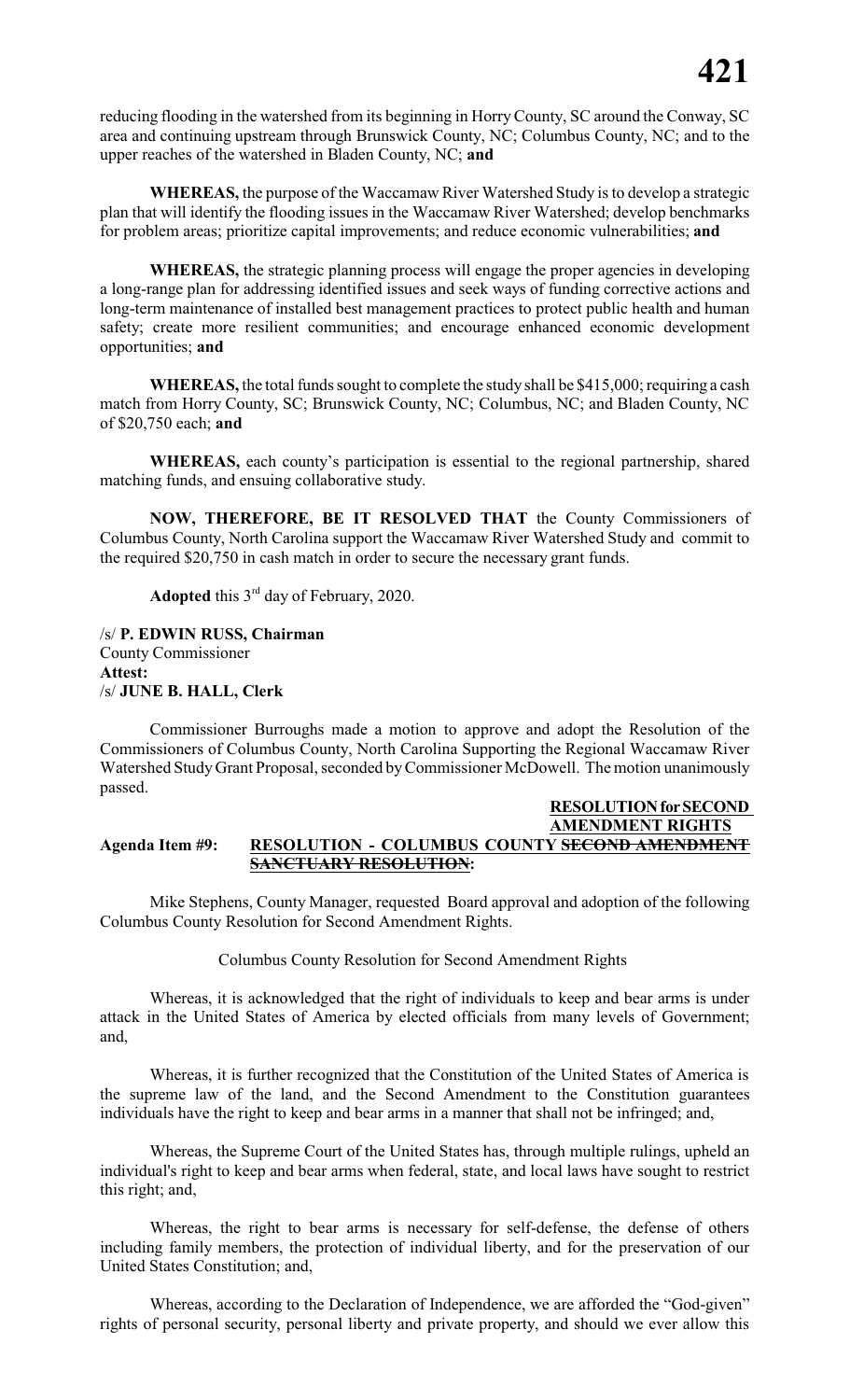reducing flooding in the watershed from its beginning in HorryCounty, SC around the Conway, SC area and continuing upstream through Brunswick County, NC; Columbus County, NC; and to the upper reaches of the watershed in Bladen County, NC; **and**

**WHEREAS,** the purpose of the Waccamaw River Watershed Study is to develop a strategic plan that will identify the flooding issues in the Waccamaw River Watershed; develop benchmarks for problem areas; prioritize capital improvements; and reduce economic vulnerabilities; **and**

**WHEREAS,** the strategic planning process will engage the proper agencies in developing a long-range plan for addressing identified issues and seek ways of funding corrective actions and long-term maintenance of installed best management practices to protect public health and human safety; create more resilient communities; and encourage enhanced economic development opportunities; **and**

**WHEREAS,** the total funds sought to complete the study shall be \$415,000; requiring a cash match from Horry County, SC; Brunswick County, NC; Columbus, NC; and Bladen County, NC of \$20,750 each; **and**

**WHEREAS,** each county's participation is essential to the regional partnership, shared matching funds, and ensuing collaborative study.

**NOW, THEREFORE, BE IT RESOLVED THAT** the County Commissioners of Columbus County, North Carolina support the Waccamaw River Watershed Study and commit to the required \$20,750 in cash match in order to secure the necessary grant funds.

Adopted this 3<sup>rd</sup> day of February, 2020.

/s/ **P. EDWIN RUSS, Chairman** County Commissioner **Attest:** /s/ **JUNE B. HALL, Clerk**

Commissioner Burroughs made a motion to approve and adopt the Resolution of the Commissioners of Columbus County, North Carolina Supporting the Regional Waccamaw River Watershed Study Grant Proposal, seconded byCommissioner McDowell. The motion unanimously passed.

#### **RESOLUTION for SECOND AMENDMENT RIGHTS Agenda Item #9: RESOLUTION - COLUMBUS COUNTY SECOND AMENDMENT SANCTUARY RESOLUTION:**

Mike Stephens, County Manager, requested Board approval and adoption of the following Columbus County Resolution for Second Amendment Rights.

Columbus County Resolution for Second Amendment Rights

Whereas, it is acknowledged that the right of individuals to keep and bear arms is under attack in the United States of America by elected officials from many levels of Government; and,

Whereas, it is further recognized that the Constitution of the United States of America is the supreme law of the land, and the Second Amendment to the Constitution guarantees individuals have the right to keep and bear arms in a manner that shall not be infringed; and,

Whereas, the Supreme Court of the United States has, through multiple rulings, upheld an individual's right to keep and bear arms when federal, state, and local laws have sought to restrict this right; and,

Whereas, the right to bear arms is necessary for self-defense, the defense of others including family members, the protection of individual liberty, and for the preservation of our United States Constitution; and,

Whereas, according to the Declaration of Independence, we are afforded the "God-given" rights of personal security, personal liberty and private property, and should we ever allow this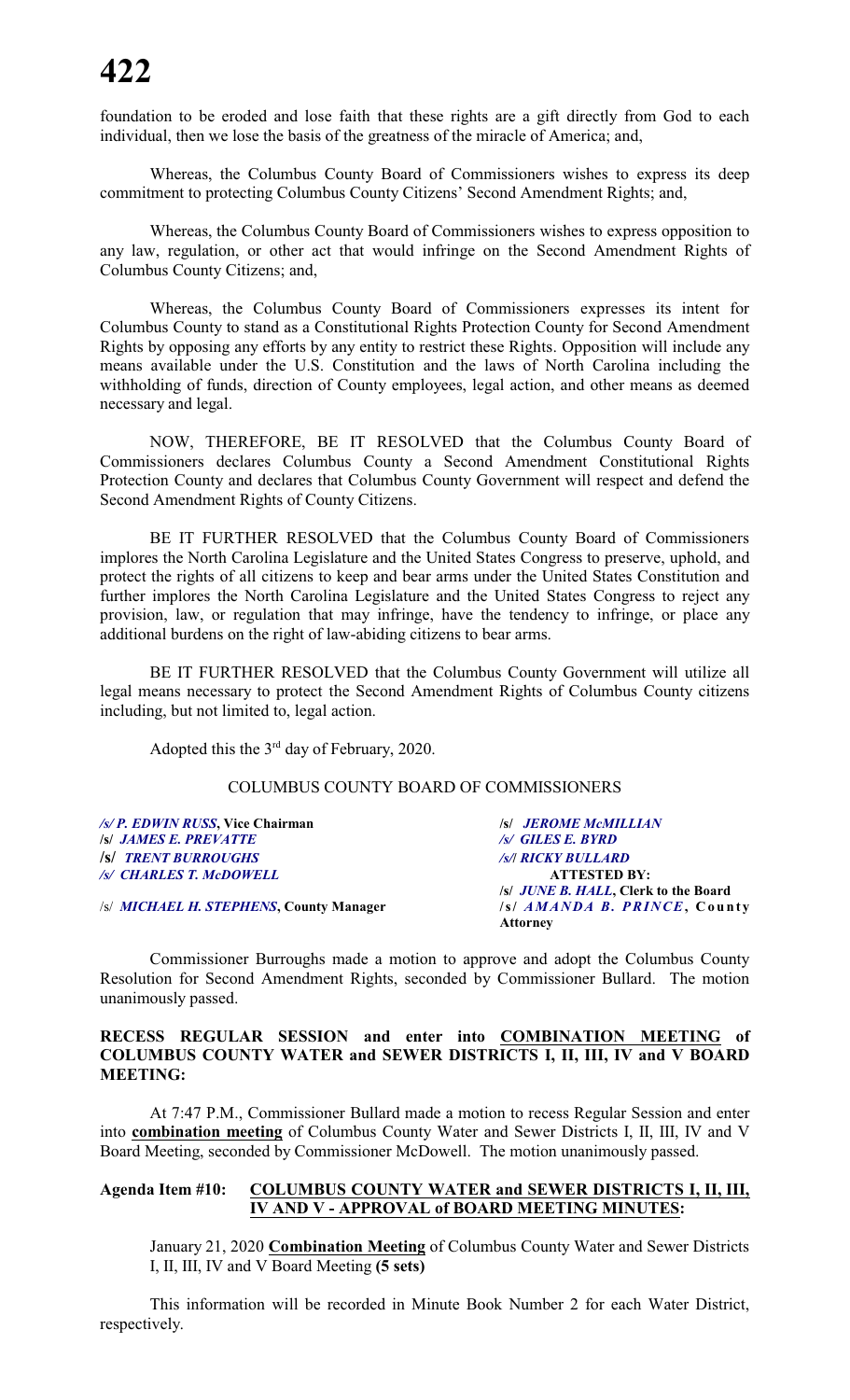foundation to be eroded and lose faith that these rights are a gift directly from God to each individual, then we lose the basis of the greatness of the miracle of America; and,

Whereas, the Columbus County Board of Commissioners wishes to express its deep commitment to protecting Columbus County Citizens' Second Amendment Rights; and,

Whereas, the Columbus County Board of Commissioners wishes to express opposition to any law, regulation, or other act that would infringe on the Second Amendment Rights of Columbus County Citizens; and,

Whereas, the Columbus County Board of Commissioners expresses its intent for Columbus County to stand as a Constitutional Rights Protection County for Second Amendment Rights by opposing any efforts by any entity to restrict these Rights. Opposition will include any means available under the U.S. Constitution and the laws of North Carolina including the withholding of funds, direction of County employees, legal action, and other means as deemed necessary and legal.

NOW, THEREFORE, BE IT RESOLVED that the Columbus County Board of Commissioners declares Columbus County a Second Amendment Constitutional Rights Protection County and declares that Columbus County Government will respect and defend the Second Amendment Rights of County Citizens.

BE IT FURTHER RESOLVED that the Columbus County Board of Commissioners implores the North Carolina Legislature and the United States Congress to preserve, uphold, and protect the rights of all citizens to keep and bear arms under the United States Constitution and further implores the North Carolina Legislature and the United States Congress to reject any provision, law, or regulation that may infringe, have the tendency to infringe, or place any additional burdens on the right of law-abiding citizens to bear arms.

BE IT FURTHER RESOLVED that the Columbus County Government will utilize all legal means necessary to protect the Second Amendment Rights of Columbus County citizens including, but not limited to, legal action.

Adopted this the  $3<sup>rd</sup>$  day of February, 2020.

#### COLUMBUS COUNTY BOARD OF COMMISSIONERS

| /s/P. EDWIN RUSS, Vice Chairman                 | <b>/s/ JEROME McMILLIAN</b>                  |
|-------------------------------------------------|----------------------------------------------|
| <b>S JAMES E. PREVATTE</b>                      | /s/ GILES E. BYRD                            |
| <b>S TRENT BURROUGHS</b>                        | <b>/s/  RICKY BULLARD</b>                    |
| /s/ CHARLES T. McDOWELL                         | <b>ATTESTED BY:</b>                          |
|                                                 | /s/ <i>JUNE B. HALL</i> , Clerk to the Board |
| /s/ <i>MICHAEL H. STEPHENS</i> , County Manager | /s/ AMANDA B. PRINCE, County                 |
|                                                 | <b>Attorney</b>                              |

Commissioner Burroughs made a motion to approve and adopt the Columbus County Resolution for Second Amendment Rights, seconded by Commissioner Bullard. The motion unanimously passed.

#### **RECESS REGULAR SESSION and enter into COMBINATION MEETING of COLUMBUS COUNTY WATER and SEWER DISTRICTS I, II, III, IV and V BOARD MEETING:**

At 7:47 P.M., Commissioner Bullard made a motion to recess Regular Session and enter into **combination meeting** of Columbus County Water and Sewer Districts I, II, III, IV and V Board Meeting, seconded by Commissioner McDowell. The motion unanimously passed.

#### **Agenda Item #10: COLUMBUS COUNTY WATER and SEWER DISTRICTS I, II, III, IV AND V - APPROVAL of BOARD MEETING MINUTES:**

January 21, 2020 **Combination Meeting** of Columbus County Water and Sewer Districts I, II, III, IV and V Board Meeting **(5 sets)**

This information will be recorded in Minute Book Number 2 for each Water District, respectively.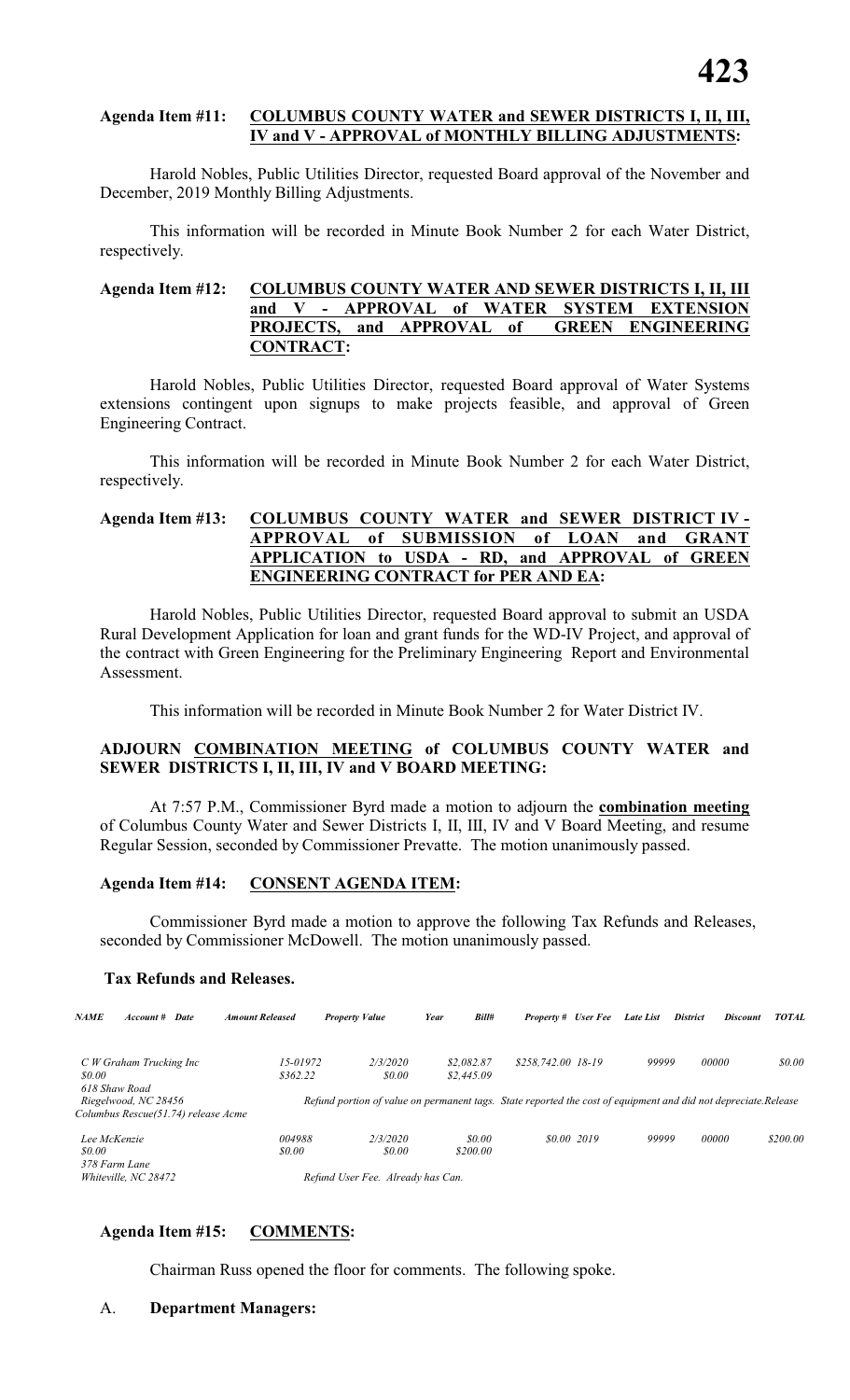#### **Agenda Item #11: COLUMBUS COUNTY WATER and SEWER DISTRICTS I, II, III, IV and V - APPROVAL of MONTHLY BILLING ADJUSTMENTS:**

Harold Nobles, Public Utilities Director, requested Board approval of the November and December, 2019 Monthly Billing Adjustments.

This information will be recorded in Minute Book Number 2 for each Water District, respectively.

#### **Agenda Item #12: COLUMBUS COUNTY WATER AND SEWER DISTRICTS I, II, III and V - APPROVAL of WATER SYSTEM EXTENSION PROJECTS, and APPROVAL of GREEN ENGINEERING CONTRACT:**

Harold Nobles, Public Utilities Director, requested Board approval of Water Systems extensions contingent upon signups to make projects feasible, and approval of Green Engineering Contract.

This information will be recorded in Minute Book Number 2 for each Water District, respectively.

#### **Agenda Item #13: COLUMBUS COUNTY WATER and SEWER DISTRICT IV - APPROVAL of SUBMISSION of LOAN and GRANT APPLICATION to USDA - RD, and APPROVAL of GREEN ENGINEERING CONTRACT for PER AND EA:**

Harold Nobles, Public Utilities Director, requested Board approval to submit an USDA Rural Development Application for loan and grant funds for the WD-IV Project, and approval of the contract with Green Engineering for the Preliminary Engineering Report and Environmental Assessment.

This information will be recorded in Minute Book Number 2 for Water District IV.

#### **ADJOURN COMBINATION MEETING of COLUMBUS COUNTY WATER and SEWER DISTRICTS I, II, III, IV and V BOARD MEETING:**

At 7:57 P.M., Commissioner Byrd made a motion to adjourn the **combination meeting** of Columbus County Water and Sewer Districts I, II, III, IV and V Board Meeting, and resume Regular Session, seconded by Commissioner Prevatte. The motion unanimously passed.

#### **Agenda Item #14: CONSENT AGENDA ITEM:**

Commissioner Byrd made a motion to approve the following Tax Refunds and Releases, seconded by Commissioner McDowell. The motion unanimously passed.

#### **Tax Refunds and Releases.**

| <b>NAME</b><br>Account #<br>Date                                             | <b>Amount Released</b>   | <b>Property Value</b>                                                                                          | Bill#<br>Year            | <b>Property #</b> User Fee |             | Late List | <b>Discount</b><br><b>District</b> | <b>TOTAL</b> |
|------------------------------------------------------------------------------|--------------------------|----------------------------------------------------------------------------------------------------------------|--------------------------|----------------------------|-------------|-----------|------------------------------------|--------------|
| C W Graham Trucking Inc<br>\$0.00                                            | $15 - 01972$<br>\$362.22 | 2/3/2020<br>\$0.00                                                                                             | \$2,082.87<br>\$2,445.09 | \$258,742.00 18-19         |             | 99999     | 00000                              | \$0.00       |
| 618 Shaw Road<br>Riegelwood, NC 28456<br>Columbus Rescue(51.74) release Acme |                          | Refund portion of value on permanent tags. State reported the cost of equipment and did not depreciate.Release |                          |                            |             |           |                                    |              |
| Lee McKenzie<br>\$0.00                                                       | 004988<br><i>so.oo</i>   | 2/3/2020<br>\$0.00                                                                                             | \$0.00<br>\$200.00       |                            | \$0.00 2019 | 99999     | 00000                              | \$200.00     |
| 378 Farm Lane<br>Whiteville, NC 28472                                        |                          | Refund User Fee. Already has Can.                                                                              |                          |                            |             |           |                                    |              |

#### **Agenda Item #15: COMMENTS:**

Chairman Russ opened the floor for comments. The following spoke.

A. **Department Managers:**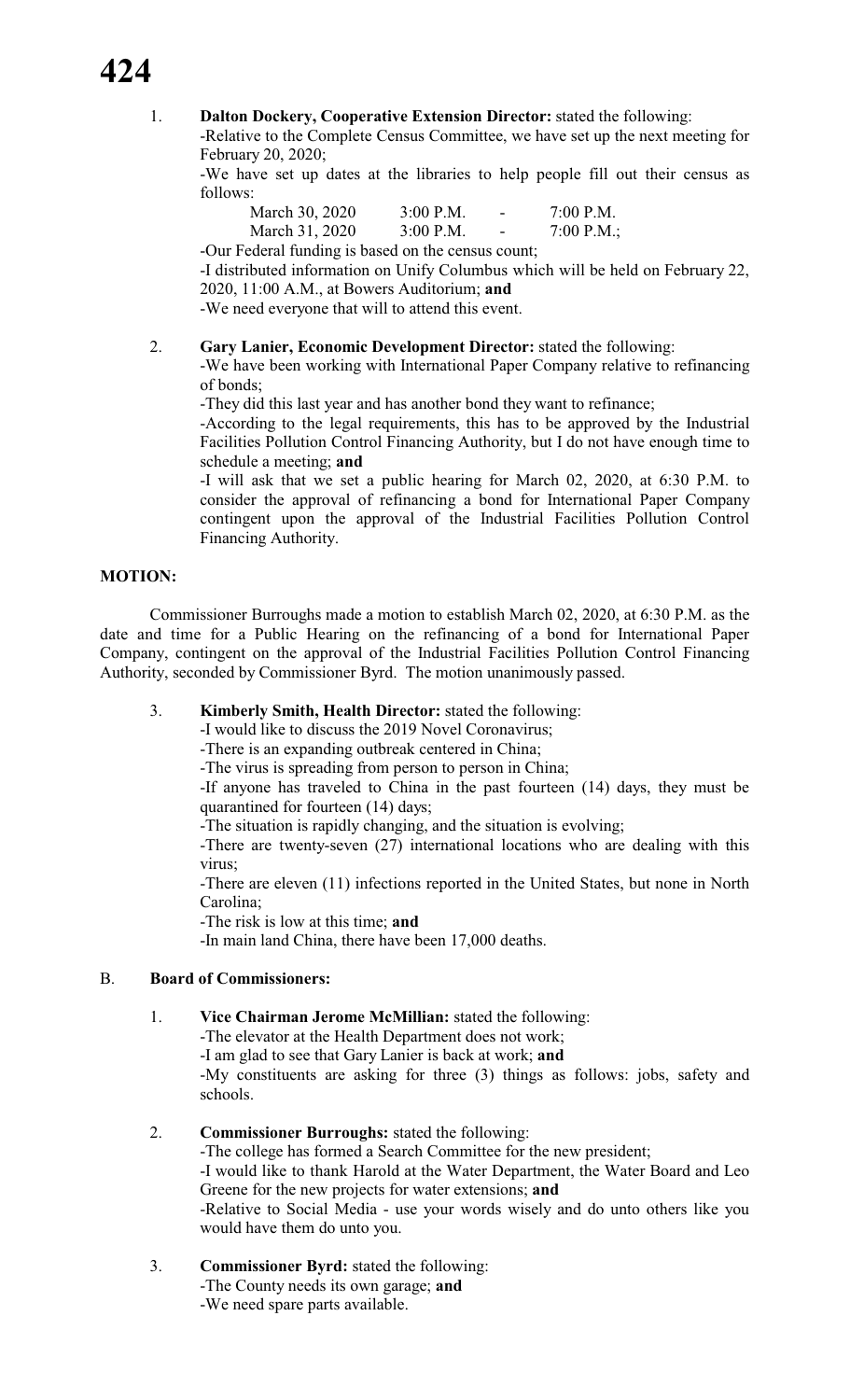# **424**

#### 1. **Dalton Dockery, Cooperative Extension Director:** stated the following:

-Relative to the Complete Census Committee, we have set up the next meeting for February 20, 2020;

-We have set up dates at the libraries to help people fill out their census as follows:

| March 30, 2020 | $3:00$ P.M. | $\overline{\phantom{a}}$ | 7:00 P.M.  |
|----------------|-------------|--------------------------|------------|
| March 31, 2020 | $3:00$ P.M. | $\overline{\phantom{a}}$ | 7:00 P.M.; |

-Our Federal funding is based on the census count;

-I distributed information on Unify Columbus which will be held on February 22, 2020, 11:00 A.M., at Bowers Auditorium; **and**

-We need everyone that will to attend this event.

#### 2. **Gary Lanier, Economic Development Director:** stated the following:

-We have been working with International Paper Company relative to refinancing of bonds;

-They did this last year and has another bond they want to refinance;

-According to the legal requirements, this has to be approved by the Industrial Facilities Pollution Control Financing Authority, but I do not have enough time to schedule a meeting; **and**

-I will ask that we set a public hearing for March 02, 2020, at 6:30 P.M. to consider the approval of refinancing a bond for International Paper Company contingent upon the approval of the Industrial Facilities Pollution Control Financing Authority.

#### **MOTION:**

Commissioner Burroughs made a motion to establish March 02, 2020, at 6:30 P.M. as the date and time for a Public Hearing on the refinancing of a bond for International Paper Company, contingent on the approval of the Industrial Facilities Pollution Control Financing Authority, seconded by Commissioner Byrd. The motion unanimously passed.

#### 3. **Kimberly Smith, Health Director:** stated the following:

-I would like to discuss the 2019 Novel Coronavirus;

-There is an expanding outbreak centered in China;

-The virus is spreading from person to person in China;

-If anyone has traveled to China in the past fourteen (14) days, they must be quarantined for fourteen (14) days;

-The situation is rapidly changing, and the situation is evolving;

-There are twenty-seven (27) international locations who are dealing with this virus;

-There are eleven (11) infections reported in the United States, but none in North Carolina;

-The risk is low at this time; **and**

-In main land China, there have been 17,000 deaths.

### B. **Board of Commissioners:**

1. **Vice Chairman Jerome McMillian:** stated the following:

-The elevator at the Health Department does not work;

-I am glad to see that Gary Lanier is back at work; **and** -My constituents are asking for three (3) things as follows: jobs, safety and

schools.

#### 2. **Commissioner Burroughs:** stated the following:

-The college has formed a Search Committee for the new president;

-I would like to thank Harold at the Water Department, the Water Board and Leo Greene for the new projects for water extensions; **and**

-Relative to Social Media - use your words wisely and do unto others like you would have them do unto you.

### 3. **Commissioner Byrd:** stated the following:

-The County needs its own garage; **and**

-We need spare parts available.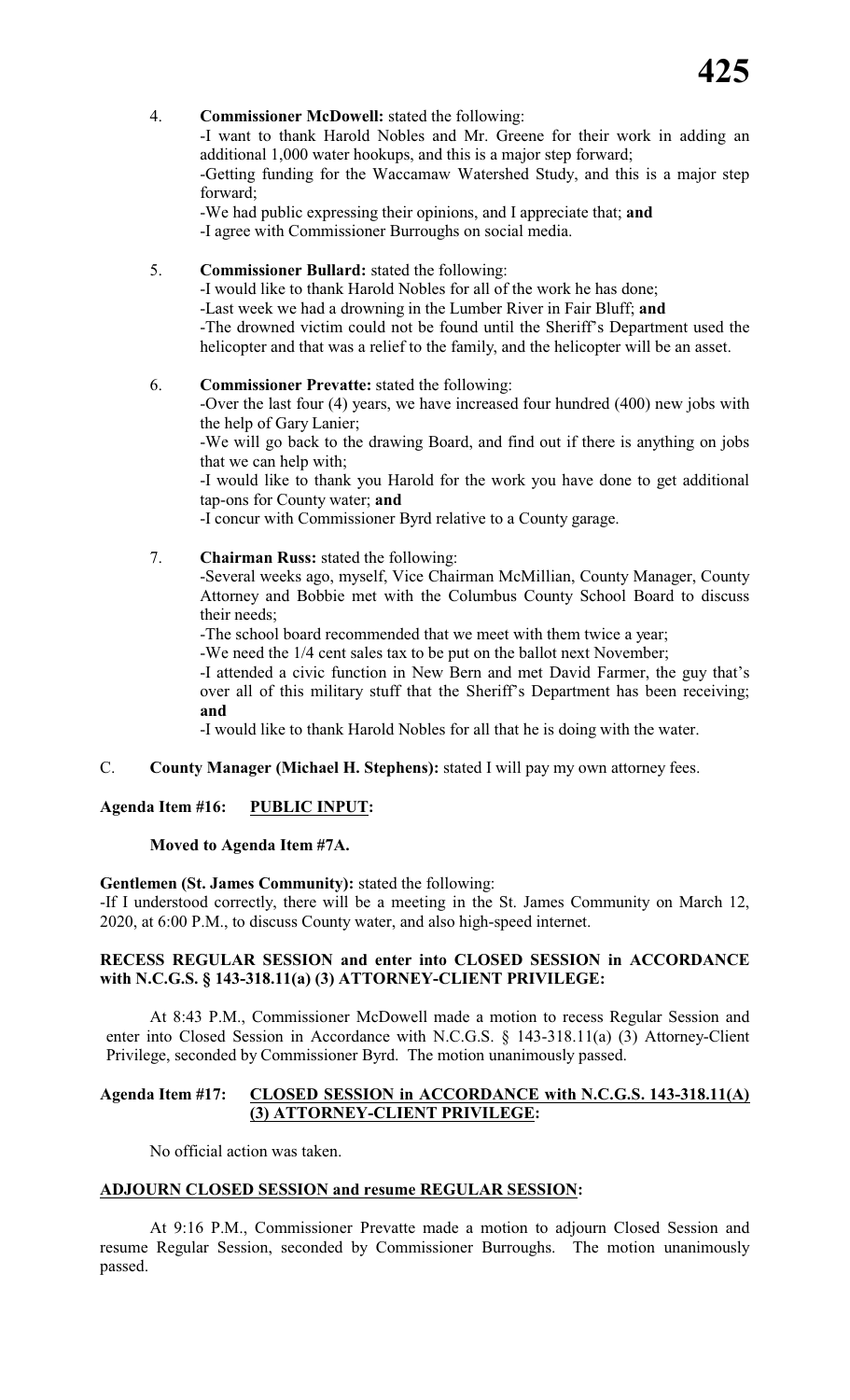#### 4. **Commissioner McDowell:** stated the following:

-I want to thank Harold Nobles and Mr. Greene for their work in adding an additional 1,000 water hookups, and this is a major step forward;

-Getting funding for the Waccamaw Watershed Study, and this is a major step forward;

-We had public expressing their opinions, and I appreciate that; **and** -I agree with Commissioner Burroughs on social media.

### 5. **Commissioner Bullard:** stated the following:

-I would like to thank Harold Nobles for all of the work he has done; -Last week we had a drowning in the Lumber River in Fair Bluff; **and** -The drowned victim could not be found until the Sheriff's Department used the helicopter and that was a relief to the family, and the helicopter will be an asset.

#### 6. **Commissioner Prevatte:** stated the following:

-Over the last four (4) years, we have increased four hundred (400) new jobs with the help of Gary Lanier;

-We will go back to the drawing Board, and find out if there is anything on jobs that we can help with;

-I would like to thank you Harold for the work you have done to get additional tap-ons for County water; **and**

-I concur with Commissioner Byrd relative to a County garage.

#### 7. **Chairman Russ:** stated the following:

-Several weeks ago, myself, Vice Chairman McMillian, County Manager, County Attorney and Bobbie met with the Columbus County School Board to discuss their needs;

-The school board recommended that we meet with them twice a year;

-We need the 1/4 cent sales tax to be put on the ballot next November;

-I attended a civic function in New Bern and met David Farmer, the guy that's over all of this military stuff that the Sheriff's Department has been receiving; **and**

-I would like to thank Harold Nobles for all that he is doing with the water.

#### C. **County Manager (Michael H. Stephens):** stated I will pay my own attorney fees.

#### **Agenda Item #16: PUBLIC INPUT:**

#### **Moved to Agenda Item #7A.**

#### **Gentlemen (St. James Community):** stated the following:

-If I understood correctly, there will be a meeting in the St. James Community on March 12, 2020, at 6:00 P.M., to discuss County water, and also high-speed internet.

#### **RECESS REGULAR SESSION and enter into CLOSED SESSION in ACCORDANCE with N.C.G.S. § 143-318.11(a) (3) ATTORNEY-CLIENT PRIVILEGE:**

At 8:43 P.M., Commissioner McDowell made a motion to recess Regular Session and enter into Closed Session in Accordance with N.C.G.S. § 143-318.11(a) (3) Attorney-Client Privilege, seconded by Commissioner Byrd. The motion unanimously passed.

#### **Agenda Item #17: CLOSED SESSION in ACCORDANCE with N.C.G.S. 143-318.11(A) (3) ATTORNEY-CLIENT PRIVILEGE:**

No official action was taken.

#### **ADJOURN CLOSED SESSION and resume REGULAR SESSION:**

At 9:16 P.M., Commissioner Prevatte made a motion to adjourn Closed Session and resume Regular Session, seconded by Commissioner Burroughs. The motion unanimously passed.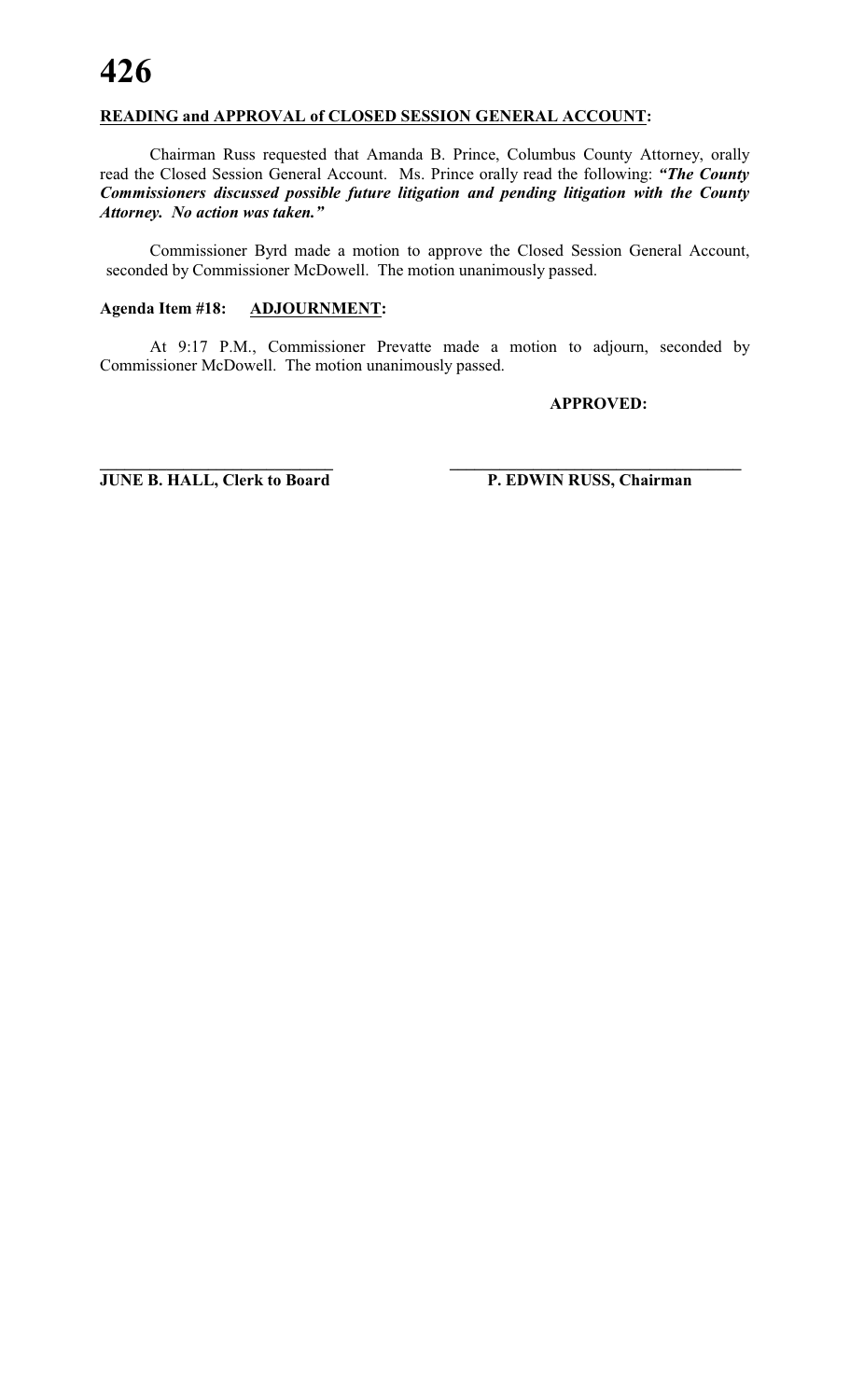#### **READING and APPROVAL of CLOSED SESSION GENERAL ACCOUNT:**

Chairman Russ requested that Amanda B. Prince, Columbus County Attorney, orally read the Closed Session General Account. Ms. Prince orally read the following: *"The County Commissioners discussed possible future litigation and pending litigation with the County Attorney. No action was taken."*

Commissioner Byrd made a motion to approve the Closed Session General Account, seconded by Commissioner McDowell. The motion unanimously passed.

#### **Agenda Item #18: ADJOURNMENT:**

At 9:17 P.M., Commissioner Prevatte made a motion to adjourn, seconded by Commissioner McDowell. The motion unanimously passed.

**\_\_\_\_\_\_\_\_\_\_\_\_\_\_\_\_\_\_\_\_\_\_\_\_\_\_\_\_ \_\_\_\_\_\_\_\_\_\_\_\_\_\_\_\_\_\_\_\_\_\_\_\_\_\_\_\_\_\_\_\_\_\_\_**

#### **APPROVED:**

**JUNE B. HALL, Clerk to Board P. EDWIN RUSS, Chairman**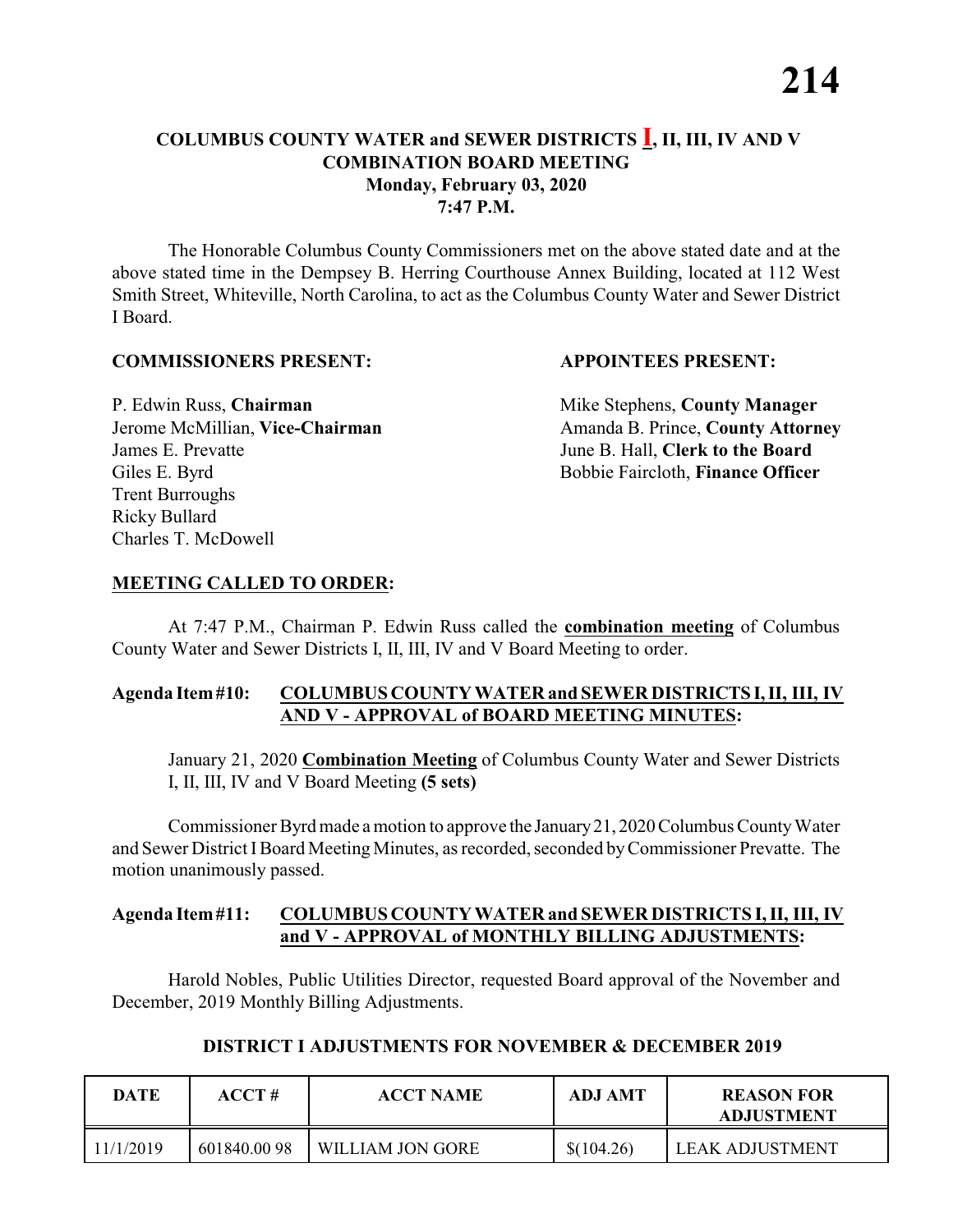The Honorable Columbus County Commissioners met on the above stated date and at the above stated time in the Dempsey B. Herring Courthouse Annex Building, located at 112 West Smith Street, Whiteville, North Carolina, to act as the Columbus County Water and Sewer District I Board.

#### **COMMISSIONERS PRESENT: APPOINTEES PRESENT:**

P. Edwin Russ, **Chairman** Mike Stephens, **County Manager** James E. Prevatte June B. Hall, **Clerk to the Board** Giles E. Byrd **Bobbie Faircloth, Finance Officer** Trent Burroughs Ricky Bullard Charles T. McDowell

Jerome McMillian, Vice-Chairman Amanda B. Prince, County Attorney

#### **MEETING CALLED TO ORDER:**

At 7:47 P.M., Chairman P. Edwin Russ called the **combination meeting** of Columbus County Water and Sewer Districts I, II, III, IV and V Board Meeting to order.

#### **Agenda Item#10: COLUMBUS COUNTY WATER and SEWER DISTRICTS I,II, III, IV AND V - APPROVAL of BOARD MEETING MINUTES:**

January 21, 2020 **Combination Meeting** of Columbus County Water and Sewer Districts I, II, III, IV and V Board Meeting **(5 sets)**

Commissioner Byrd made a motion to approve the January 21, 2020 Columbus County Water and Sewer District IBoard Meeting Minutes, as recorded, seconded byCommissioner Prevatte. The motion unanimously passed.

#### **Agenda Item#11: COLUMBUS COUNTY WATER and SEWER DISTRICTS I, II, III, IV and V - APPROVAL of MONTHLY BILLING ADJUSTMENTS:**

Harold Nobles, Public Utilities Director, requested Board approval of the November and December, 2019 Monthly Billing Adjustments.

#### **DISTRICT I ADJUSTMENTS FOR NOVEMBER & DECEMBER 2019**

| DATE      | $\bf ACCT#$ | <b>ACCT NAME</b> | ADJ AMT    | <b>REASON FOR</b><br><b>ADJUSTMENT</b> |
|-----------|-------------|------------------|------------|----------------------------------------|
| 11/1/2019 | 601840.0098 | WILLIAM JON GORE | \$(104.26) | LEAK ADJUSTMENT                        |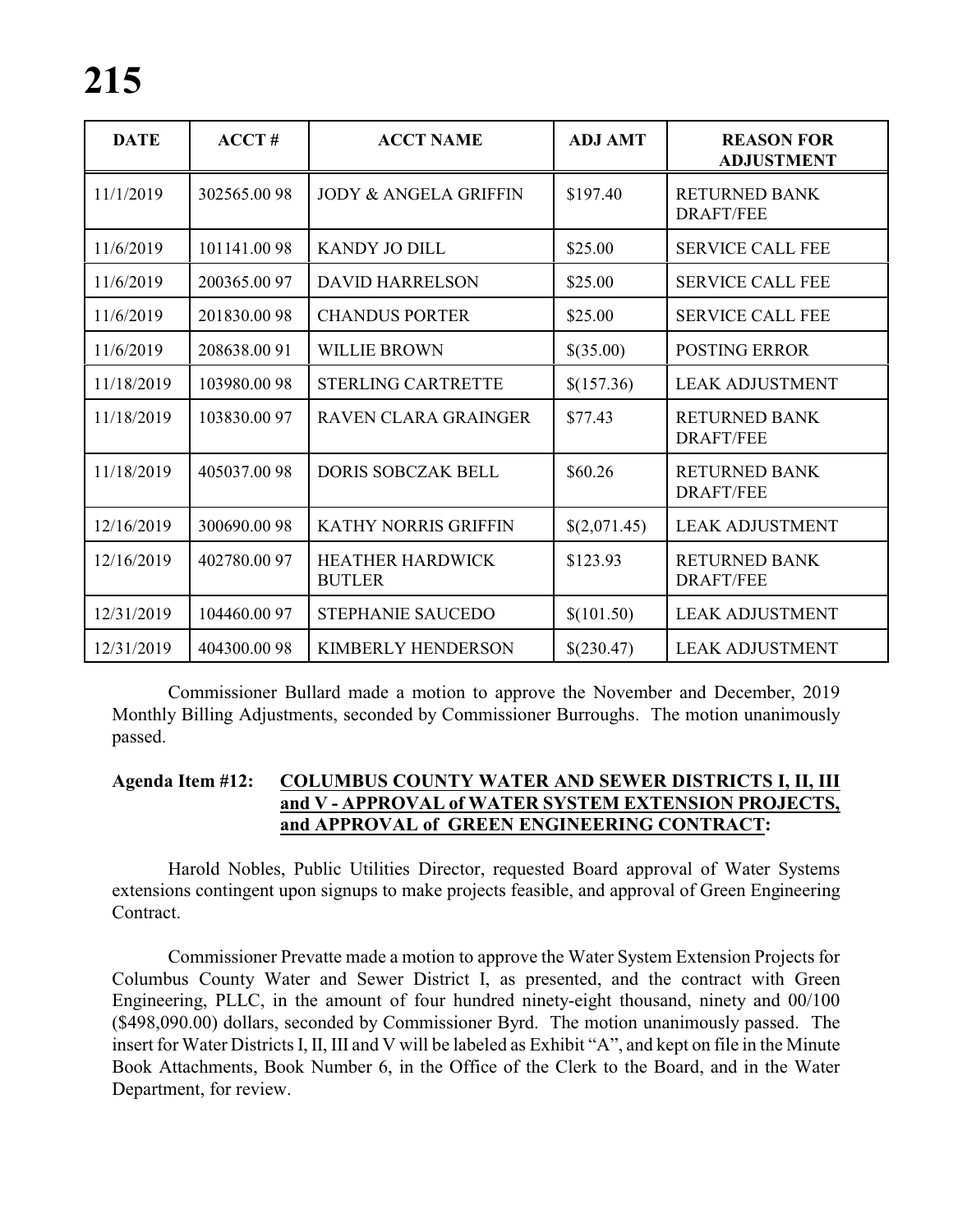| <b>DATE</b> | ACCT#        | <b>ACCT NAME</b>                         | <b>ADJ AMT</b> | <b>REASON FOR</b><br><b>ADJUSTMENT</b>   |
|-------------|--------------|------------------------------------------|----------------|------------------------------------------|
| 11/1/2019   | 302565.0098  | <b>JODY &amp; ANGELA GRIFFIN</b>         | \$197.40       | <b>RETURNED BANK</b><br><b>DRAFT/FEE</b> |
| 11/6/2019   | 101141.0098  | <b>KANDY JO DILL</b>                     | \$25.00        | <b>SERVICE CALL FEE</b>                  |
| 11/6/2019   | 200365.0097  | <b>DAVID HARRELSON</b>                   | \$25.00        | <b>SERVICE CALL FEE</b>                  |
| 11/6/2019   | 201830.0098  | <b>CHANDUS PORTER</b>                    | \$25.00        | <b>SERVICE CALL FEE</b>                  |
| 11/6/2019   | 208638.0091  | <b>WILLIE BROWN</b>                      | \$(35.00)      | <b>POSTING ERROR</b>                     |
| 11/18/2019  | 103980.0098  | <b>STERLING CARTRETTE</b>                | \$(157.36)     | <b>LEAK ADJUSTMENT</b>                   |
| 11/18/2019  | 103830.0097  | <b>RAVEN CLARA GRAINGER</b>              | \$77.43        | <b>RETURNED BANK</b><br><b>DRAFT/FEE</b> |
| 11/18/2019  | 405037.0098  | <b>DORIS SOBCZAK BELL</b>                | \$60.26        | <b>RETURNED BANK</b><br><b>DRAFT/FEE</b> |
| 12/16/2019  | 300690.0098  | <b>KATHY NORRIS GRIFFIN</b>              | \$(2,071.45)   | <b>LEAK ADJUSTMENT</b>                   |
| 12/16/2019  | 402780.0097  | <b>HEATHER HARDWICK</b><br><b>BUTLER</b> | \$123.93       | <b>RETURNED BANK</b><br><b>DRAFT/FEE</b> |
| 12/31/2019  | 104460.00 97 | STEPHANIE SAUCEDO                        | \$(101.50)     | <b>LEAK ADJUSTMENT</b>                   |
| 12/31/2019  | 404300.0098  | <b>KIMBERLY HENDERSON</b>                | \$(230.47)     | <b>LEAK ADJUSTMENT</b>                   |

Commissioner Bullard made a motion to approve the November and December, 2019 Monthly Billing Adjustments, seconded by Commissioner Burroughs. The motion unanimously passed.

#### **Agenda Item #12: COLUMBUS COUNTY WATER AND SEWER DISTRICTS I, II, III and V - APPROVAL of WATER SYSTEM EXTENSION PROJECTS, and APPROVAL of GREEN ENGINEERING CONTRACT:**

Harold Nobles, Public Utilities Director, requested Board approval of Water Systems extensions contingent upon signups to make projects feasible, and approval of Green Engineering Contract.

Commissioner Prevatte made a motion to approve the Water System Extension Projects for Columbus County Water and Sewer District I, as presented, and the contract with Green Engineering, PLLC, in the amount of four hundred ninety-eight thousand, ninety and 00/100 (\$498,090.00) dollars, seconded by Commissioner Byrd. The motion unanimously passed. The insert for Water Districts I, II, III and V will be labeled as Exhibit "A", and kept on file in the Minute Book Attachments, Book Number 6, in the Office of the Clerk to the Board, and in the Water Department, for review.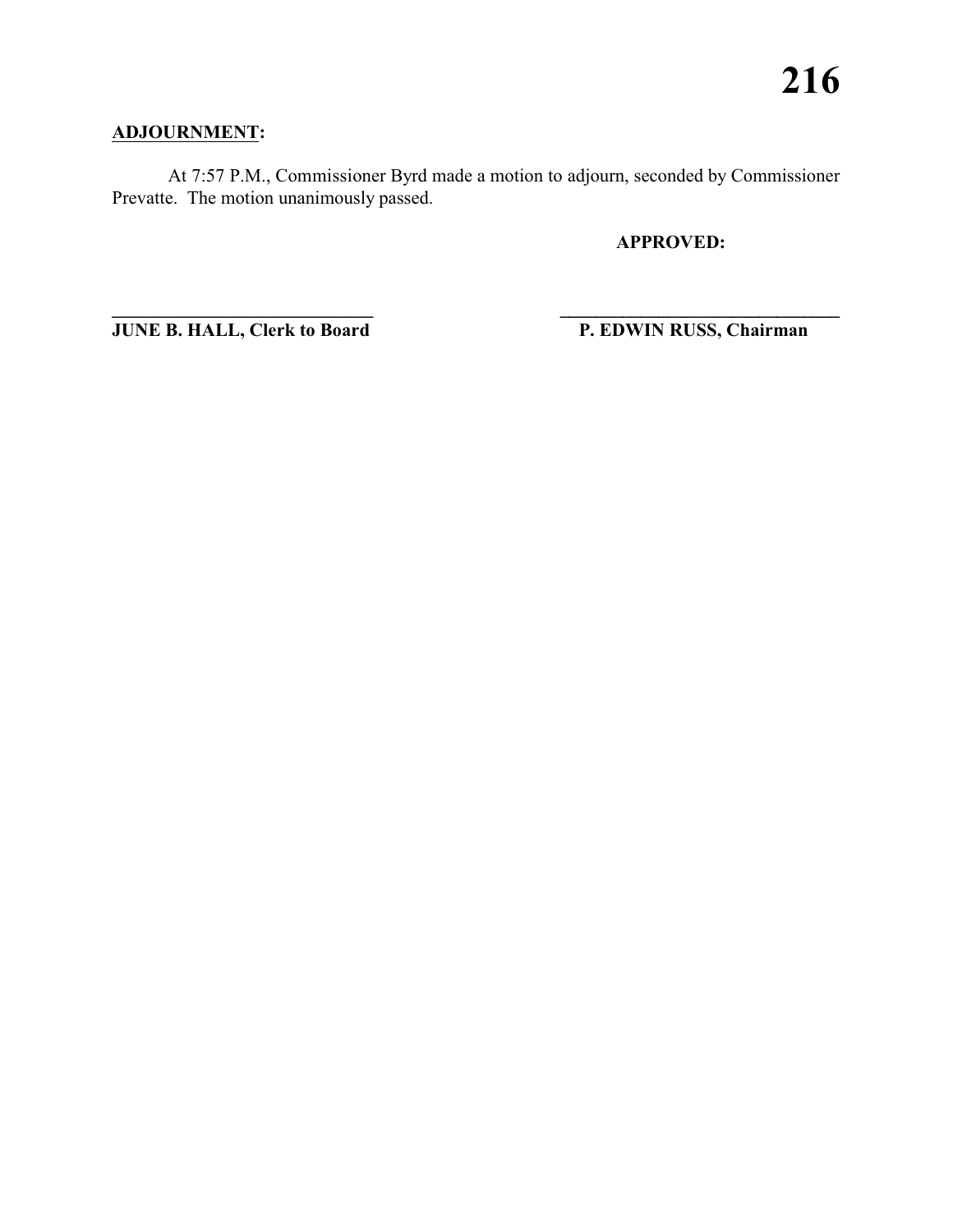### **ADJOURNMENT:**

At 7:57 P.M., Commissioner Byrd made a motion to adjourn, seconded by Commissioner Prevatte. The motion unanimously passed.

**APPROVED:**

**JUNE B. HALL, Clerk to Board P. EDWIN RUSS, Chairman** 

**\_\_\_\_\_\_\_\_\_\_\_\_\_\_\_\_\_\_\_\_\_\_\_\_\_\_\_\_ \_\_\_\_\_\_\_\_\_\_\_\_\_\_\_\_\_\_\_\_\_\_\_\_\_\_\_\_\_\_\_**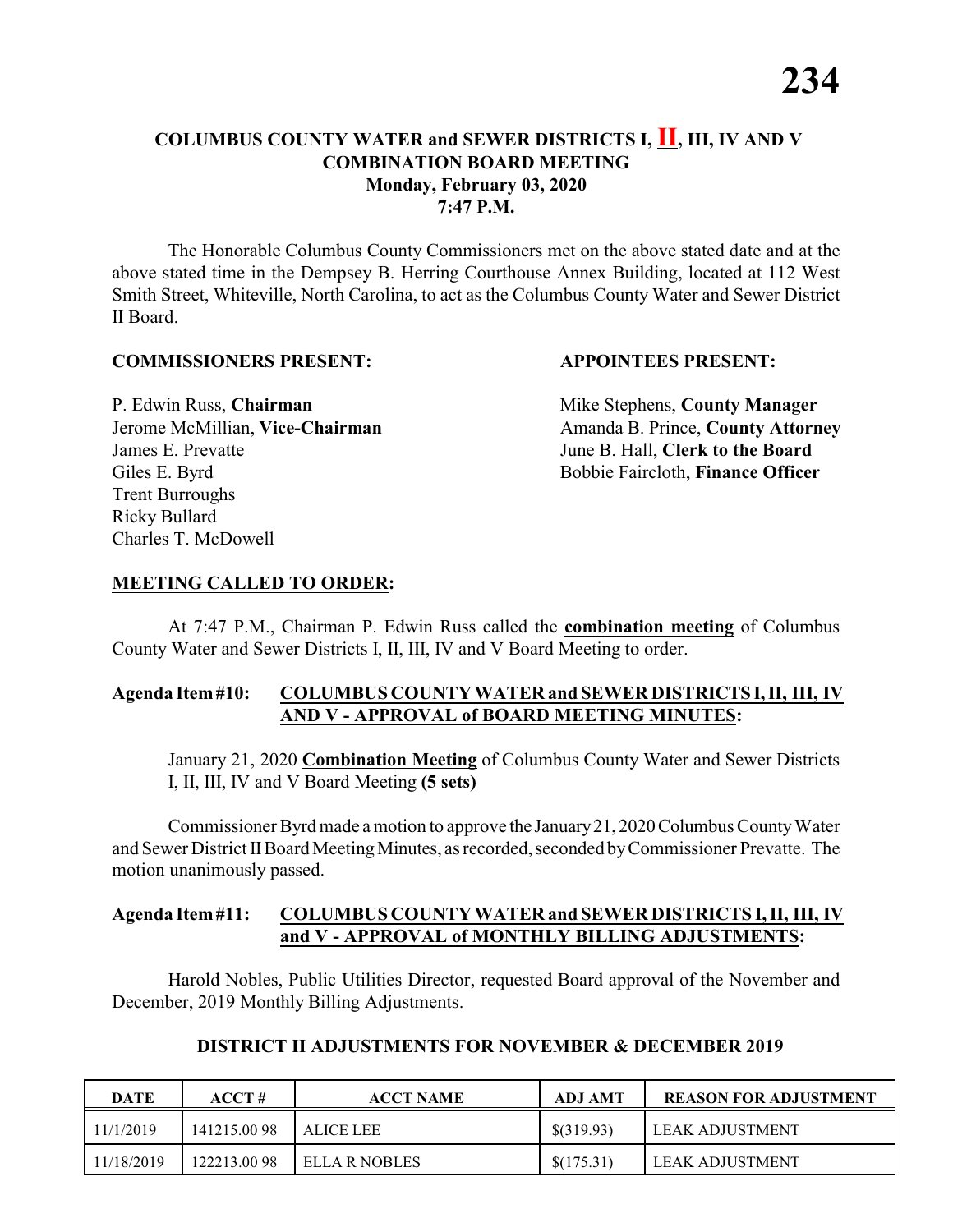The Honorable Columbus County Commissioners met on the above stated date and at the above stated time in the Dempsey B. Herring Courthouse Annex Building, located at 112 West Smith Street, Whiteville, North Carolina, to act as the Columbus County Water and Sewer District II Board.

#### **COMMISSIONERS PRESENT: APPOINTEES PRESENT:**

James E. Prevatte June B. Hall, **Clerk to the Board** Giles E. Byrd **Bobbie Faircloth, Finance Officer** Trent Burroughs Ricky Bullard Charles T. McDowell

P. Edwin Russ, **Chairman** Mike Stephens, **County Manager** Jerome McMillian, Vice-Chairman Amanda B. Prince, County Attorney

#### **MEETING CALLED TO ORDER:**

At 7:47 P.M., Chairman P. Edwin Russ called the **combination meeting** of Columbus County Water and Sewer Districts I, II, III, IV and V Board Meeting to order.

#### **Agenda Item#10: COLUMBUS COUNTY WATER and SEWER DISTRICTS I,II, III, IV AND V - APPROVAL of BOARD MEETING MINUTES:**

January 21, 2020 **Combination Meeting** of Columbus County Water and Sewer Districts I, II, III, IV and V Board Meeting **(5 sets)**

Commissioner Byrd made a motion to approve the January 21, 2020 Columbus County Water and Sewer District IIBoard MeetingMinutes, as recorded, seconded byCommissioner Prevatte. The motion unanimously passed.

#### **Agenda Item#11: COLUMBUS COUNTY WATER and SEWER DISTRICTS I, II, III, IV and V - APPROVAL of MONTHLY BILLING ADJUSTMENTS:**

Harold Nobles, Public Utilities Director, requested Board approval of the November and December, 2019 Monthly Billing Adjustments.

| <b>DATE</b> | ACCT#       | <b>ACCT NAME</b> | <b>ADJ AMT</b> | <b>REASON FOR ADJUSTMENT</b> |
|-------------|-------------|------------------|----------------|------------------------------|
| 11/1/2019   | 141215.0098 | ALICE LEE        | $$$ (319.93)   | LEAK ADJUSTMENT              |
| 11/18/2019  | 122213.0098 | ELLA R NOBLES    | \$(175.31)     | LEAK ADJUSTMENT              |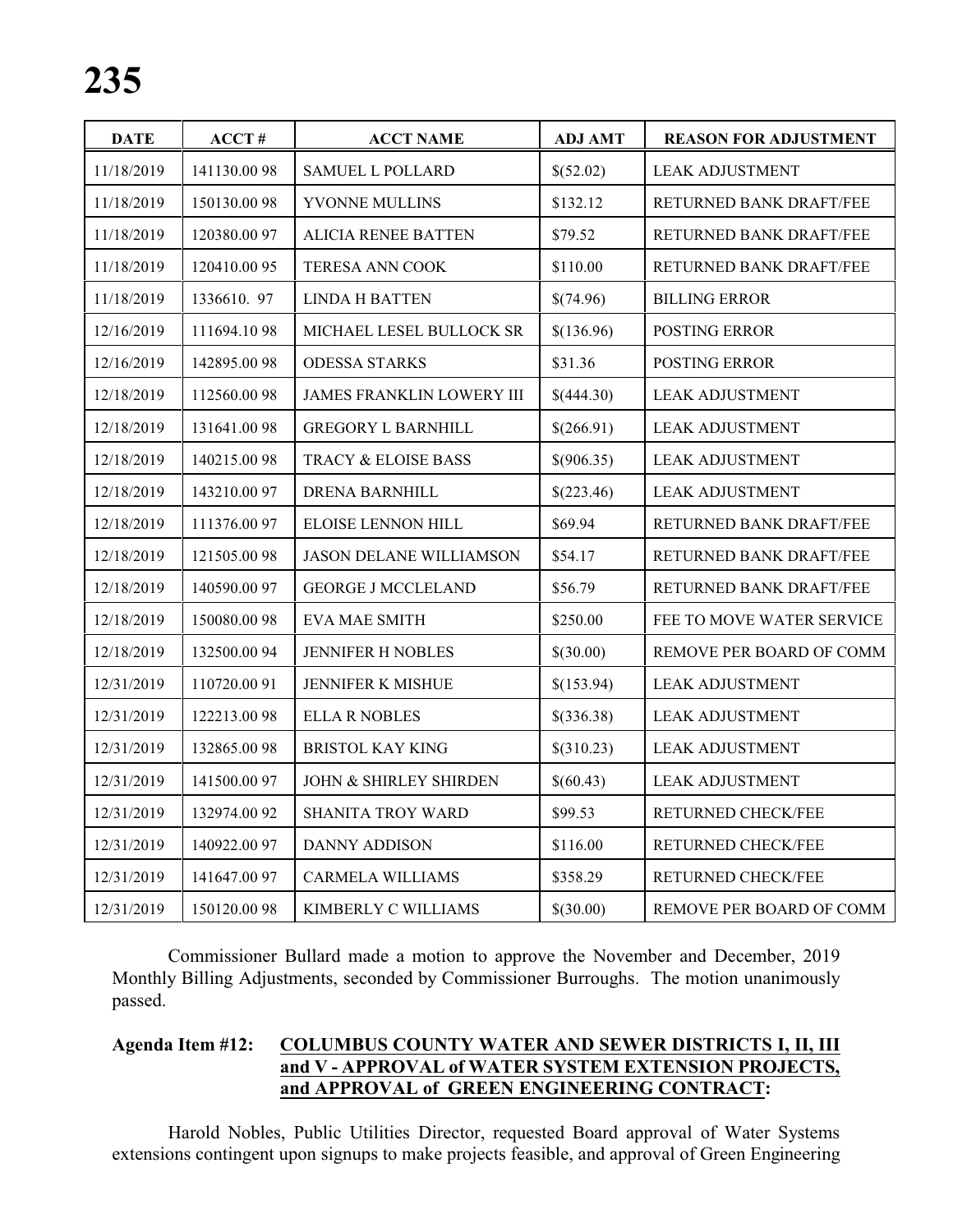| <b>DATE</b> | ACCT#       | <b>ACCT NAME</b>                  | <b>ADJ AMT</b> | <b>REASON FOR ADJUSTMENT</b> |
|-------------|-------------|-----------------------------------|----------------|------------------------------|
| 11/18/2019  | 141130.0098 | <b>SAMUEL L POLLARD</b>           | \$(52.02)      | <b>LEAK ADJUSTMENT</b>       |
| 11/18/2019  | 150130.0098 | YVONNE MULLINS                    | \$132.12       | RETURNED BANK DRAFT/FEE      |
| 11/18/2019  | 120380.0097 | <b>ALICIA RENEE BATTEN</b>        | \$79.52        | RETURNED BANK DRAFT/FEE      |
| 11/18/2019  | 120410.0095 | <b>TERESA ANN COOK</b>            | \$110.00       | RETURNED BANK DRAFT/FEE      |
| 11/18/2019  | 1336610.97  | <b>LINDA H BATTEN</b>             | \$(74.96)      | <b>BILLING ERROR</b>         |
| 12/16/2019  | 111694.1098 | MICHAEL LESEL BULLOCK SR          | \$(136.96)     | POSTING ERROR                |
| 12/16/2019  | 142895.0098 | <b>ODESSA STARKS</b>              | \$31.36        | POSTING ERROR                |
| 12/18/2019  | 112560.0098 | <b>JAMES FRANKLIN LOWERY III</b>  | \$(444.30)     | <b>LEAK ADJUSTMENT</b>       |
| 12/18/2019  | 131641.0098 | <b>GREGORY L BARNHILL</b>         | \$(266.91)     | <b>LEAK ADJUSTMENT</b>       |
| 12/18/2019  | 140215.0098 | TRACY & ELOISE BASS               | \$(906.35)     | <b>LEAK ADJUSTMENT</b>       |
| 12/18/2019  | 143210.0097 | <b>DRENA BARNHILL</b>             | \$(223.46)     | <b>LEAK ADJUSTMENT</b>       |
| 12/18/2019  | 111376.0097 | ELOISE LENNON HILL                | \$69.94        | RETURNED BANK DRAFT/FEE      |
| 12/18/2019  | 121505.0098 | <b>JASON DELANE WILLIAMSON</b>    | \$54.17        | RETURNED BANK DRAFT/FEE      |
| 12/18/2019  | 140590.0097 | <b>GEORGE J MCCLELAND</b>         | \$56.79        | RETURNED BANK DRAFT/FEE      |
| 12/18/2019  | 150080.0098 | EVA MAE SMITH                     | \$250.00       | FEE TO MOVE WATER SERVICE    |
| 12/18/2019  | 132500.0094 | <b>JENNIFER H NOBLES</b>          | \$(30.00)      | REMOVE PER BOARD OF COMM     |
| 12/31/2019  | 110720.0091 | JENNIFER K MISHUE                 | \$(153.94)     | <b>LEAK ADJUSTMENT</b>       |
| 12/31/2019  | 122213.0098 | <b>ELLA R NOBLES</b>              | \$(336.38)     | <b>LEAK ADJUSTMENT</b>       |
| 12/31/2019  | 132865.0098 | <b>BRISTOL KAY KING</b>           | \$(310.23)     | <b>LEAK ADJUSTMENT</b>       |
| 12/31/2019  | 141500.0097 | <b>JOHN &amp; SHIRLEY SHIRDEN</b> | \$(60.43)      | <b>LEAK ADJUSTMENT</b>       |
| 12/31/2019  | 132974.0092 | SHANITA TROY WARD                 | \$99.53        | RETURNED CHECK/FEE           |
| 12/31/2019  | 140922.0097 | <b>DANNY ADDISON</b>              | \$116.00       | RETURNED CHECK/FEE           |
| 12/31/2019  | 141647.0097 | <b>CARMELA WILLIAMS</b>           | \$358.29       | RETURNED CHECK/FEE           |
| 12/31/2019  | 150120.0098 | KIMBERLY C WILLIAMS               | \$(30.00)      | REMOVE PER BOARD OF COMM     |

Commissioner Bullard made a motion to approve the November and December, 2019 Monthly Billing Adjustments, seconded by Commissioner Burroughs. The motion unanimously passed.

#### **Agenda Item #12: COLUMBUS COUNTY WATER AND SEWER DISTRICTS I, II, III and V - APPROVAL of WATER SYSTEM EXTENSION PROJECTS, and APPROVAL of GREEN ENGINEERING CONTRACT:**

Harold Nobles, Public Utilities Director, requested Board approval of Water Systems extensions contingent upon signups to make projects feasible, and approval of Green Engineering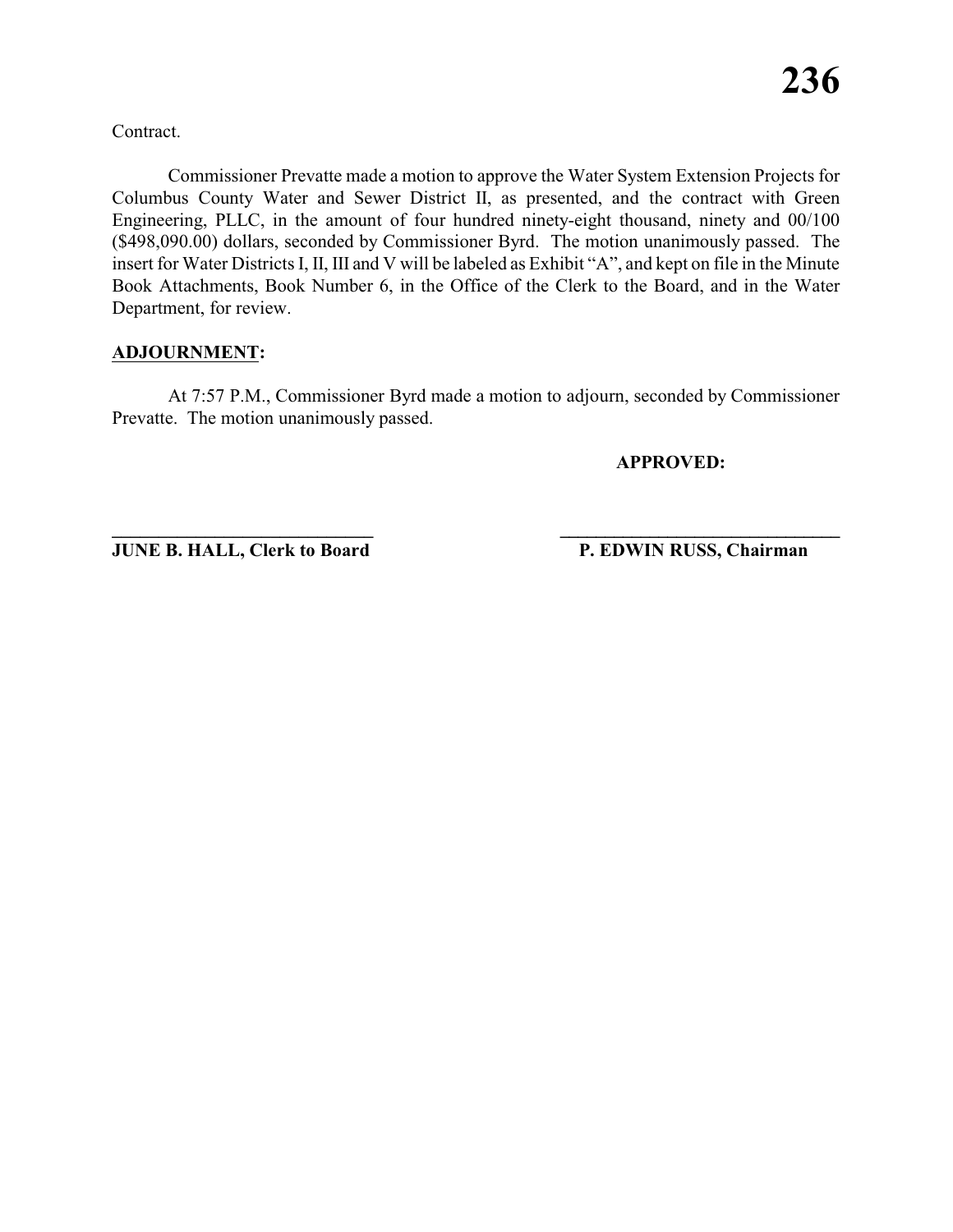Contract.

Commissioner Prevatte made a motion to approve the Water System Extension Projects for Columbus County Water and Sewer District II, as presented, and the contract with Green Engineering, PLLC, in the amount of four hundred ninety-eight thousand, ninety and 00/100 (\$498,090.00) dollars, seconded by Commissioner Byrd. The motion unanimously passed. The insert for Water Districts I, II, III and V will be labeled as Exhibit "A", and kept on file in the Minute Book Attachments, Book Number 6, in the Office of the Clerk to the Board, and in the Water Department, for review.

#### **ADJOURNMENT:**

At 7:57 P.M., Commissioner Byrd made a motion to adjourn, seconded by Commissioner Prevatte. The motion unanimously passed.

**APPROVED:**

**JUNE B. HALL, Clerk to Board P. EDWIN RUSS, Chairman** 

**\_\_\_\_\_\_\_\_\_\_\_\_\_\_\_\_\_\_\_\_\_\_\_\_\_\_\_\_ \_\_\_\_\_\_\_\_\_\_\_\_\_\_\_\_\_\_\_\_\_\_\_\_\_\_\_\_\_\_\_**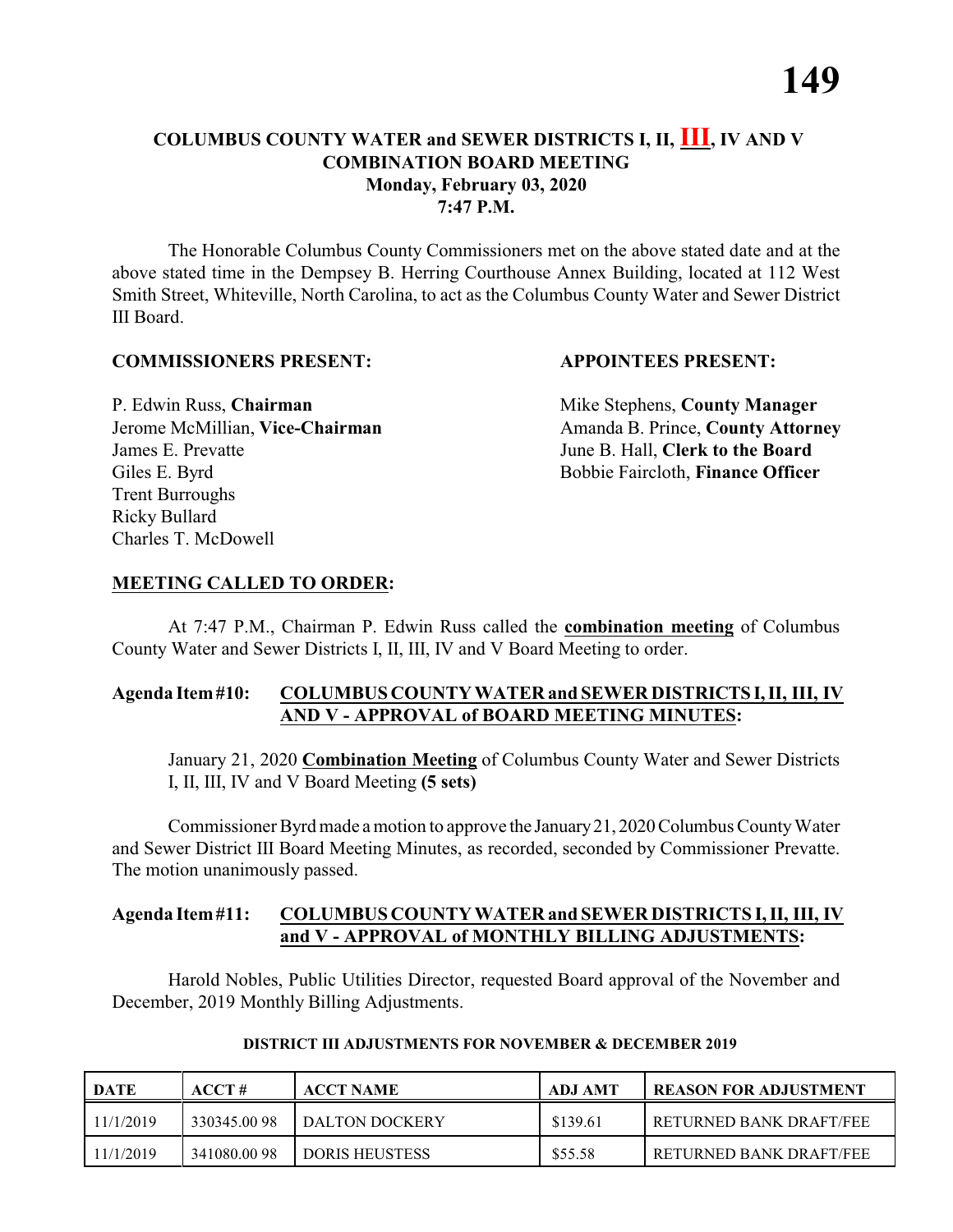The Honorable Columbus County Commissioners met on the above stated date and at the above stated time in the Dempsey B. Herring Courthouse Annex Building, located at 112 West Smith Street, Whiteville, North Carolina, to act as the Columbus County Water and Sewer District III Board.

#### **COMMISSIONERS PRESENT: APPOINTEES PRESENT:**

P. Edwin Russ, **Chairman** Mike Stephens, **County Manager** James E. Prevatte June B. Hall, **Clerk to the Board** Giles E. Byrd **Bobbie Faircloth, Finance Officer** Trent Burroughs Ricky Bullard Charles T. McDowell

Jerome McMillian, Vice-Chairman Amanda B. Prince, County Attorney

#### **MEETING CALLED TO ORDER:**

At 7:47 P.M., Chairman P. Edwin Russ called the **combination meeting** of Columbus County Water and Sewer Districts I, II, III, IV and V Board Meeting to order.

#### **Agenda Item#10: COLUMBUS COUNTY WATER and SEWER DISTRICTS I,II, III, IV AND V - APPROVAL of BOARD MEETING MINUTES:**

January 21, 2020 **Combination Meeting** of Columbus County Water and Sewer Districts I, II, III, IV and V Board Meeting **(5 sets)**

Commissioner Byrd made a motion to approve the January 21, 2020 Columbus County Water and Sewer District III Board Meeting Minutes, as recorded, seconded by Commissioner Prevatte. The motion unanimously passed.

#### **Agenda Item#11: COLUMBUS COUNTY WATER and SEWER DISTRICTS I, II, III, IV and V - APPROVAL of MONTHLY BILLING ADJUSTMENTS:**

Harold Nobles, Public Utilities Director, requested Board approval of the November and December, 2019 Monthly Billing Adjustments.

| DATE      | ACCT#       | <b>ACCT NAME</b>      | ADJ AMT  | REASON FOR ADJUSTMENT      |
|-----------|-------------|-----------------------|----------|----------------------------|
| 11/1/2019 | 330345.0098 | DALTON DOCKERY        | \$139.61 | l returned bank draft/fee. |
| 11/1/2019 | 341080.0098 | <b>DORIS HEUSTESS</b> | \$55.58  | RETURNED BANK DRAFT/FEE    |

#### **DISTRICT III ADJUSTMENTS FOR NOVEMBER & DECEMBER 2019**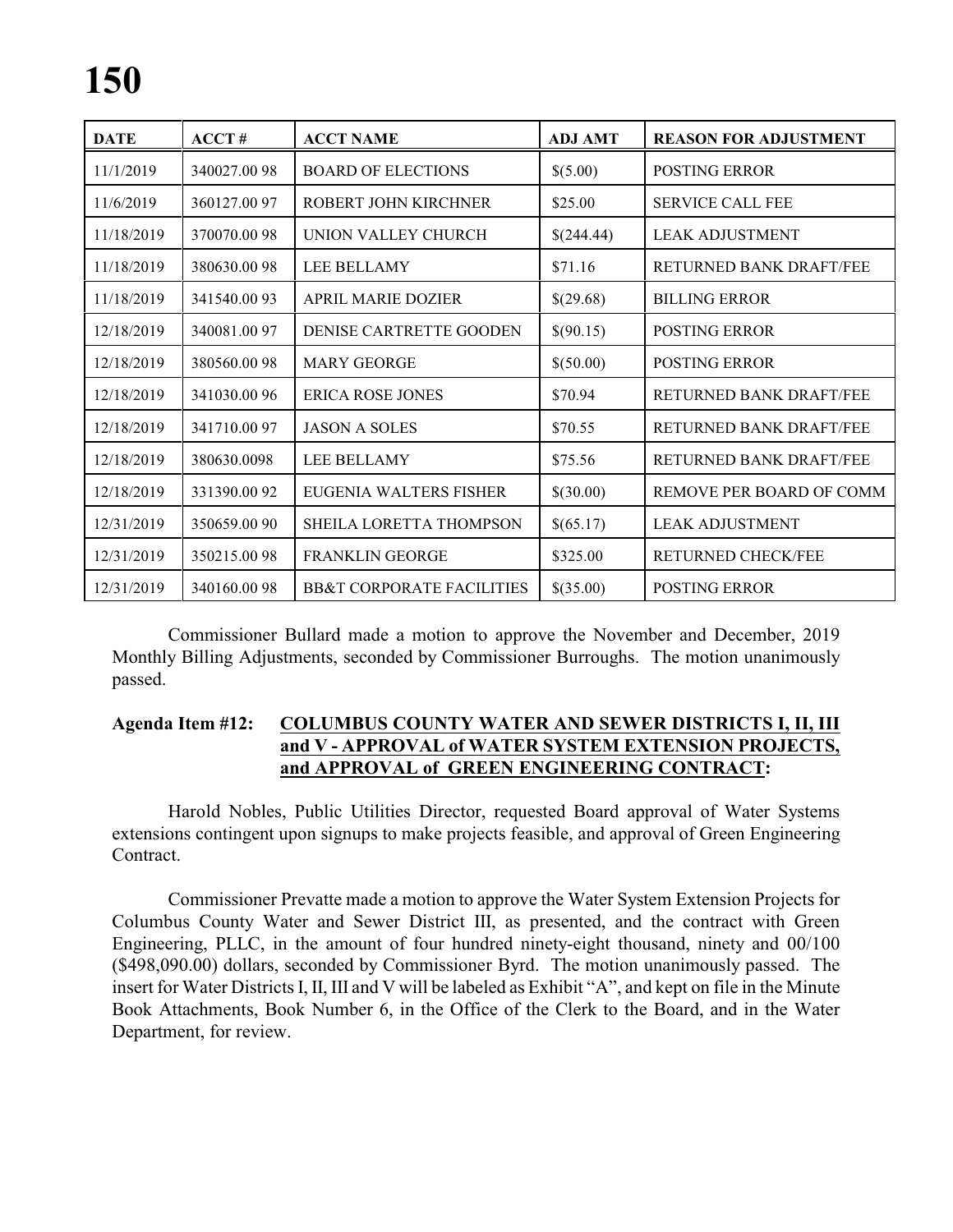# **150**

| <b>DATE</b> | ACCT#        | <b>ACCT NAME</b>                     | <b>ADJ AMT</b> | <b>REASON FOR ADJUSTMENT</b>   |
|-------------|--------------|--------------------------------------|----------------|--------------------------------|
| 11/1/2019   | 340027.0098  | <b>BOARD OF ELECTIONS</b>            | \$(5.00)       | <b>POSTING ERROR</b>           |
| 11/6/2019   | 360127.0097  | ROBERT JOHN KIRCHNER                 | \$25.00        | <b>SERVICE CALL FEE</b>        |
| 11/18/2019  | 370070.0098  | UNION VALLEY CHURCH                  | \$(244.44)     | <b>LEAK ADJUSTMENT</b>         |
| 11/18/2019  | 380630.0098  | LEE BELLAMY                          | \$71.16        | RETURNED BANK DRAFT/FEE        |
| 11/18/2019  | 341540.0093  | <b>APRIL MARIE DOZIER</b>            | \$(29.68)      | <b>BILLING ERROR</b>           |
| 12/18/2019  | 340081.0097  | DENISE CARTRETTE GOODEN              | \$(90.15)      | <b>POSTING ERROR</b>           |
| 12/18/2019  | 380560.0098  | <b>MARY GEORGE</b>                   | \$(50.00)      | <b>POSTING ERROR</b>           |
| 12/18/2019  | 341030.0096  | <b>ERICA ROSE JONES</b>              | \$70.94        | RETURNED BANK DRAFT/FEE        |
| 12/18/2019  | 341710.0097  | <b>JASON A SOLES</b>                 | \$70.55        | <b>RETURNED BANK DRAFT/FEE</b> |
| 12/18/2019  | 380630.0098  | LEE BELLAMY                          | \$75.56        | <b>RETURNED BANK DRAFT/FEE</b> |
| 12/18/2019  | 331390.0092  | EUGENIA WALTERS FISHER               | \$(30.00)      | REMOVE PER BOARD OF COMM       |
| 12/31/2019  | 350659.00 90 | SHEILA LORETTA THOMPSON              | \$(65.17)      | <b>LEAK ADJUSTMENT</b>         |
| 12/31/2019  | 350215.0098  | <b>FRANKLIN GEORGE</b>               | \$325.00       | RETURNED CHECK/FEE             |
| 12/31/2019  | 340160.0098  | <b>BB&amp;T CORPORATE FACILITIES</b> | \$(35.00)      | <b>POSTING ERROR</b>           |

Commissioner Bullard made a motion to approve the November and December, 2019 Monthly Billing Adjustments, seconded by Commissioner Burroughs. The motion unanimously passed.

#### **Agenda Item #12: COLUMBUS COUNTY WATER AND SEWER DISTRICTS I, II, III and V - APPROVAL of WATER SYSTEM EXTENSION PROJECTS, and APPROVAL of GREEN ENGINEERING CONTRACT:**

Harold Nobles, Public Utilities Director, requested Board approval of Water Systems extensions contingent upon signups to make projects feasible, and approval of Green Engineering Contract.

Commissioner Prevatte made a motion to approve the Water System Extension Projects for Columbus County Water and Sewer District III, as presented, and the contract with Green Engineering, PLLC, in the amount of four hundred ninety-eight thousand, ninety and 00/100 (\$498,090.00) dollars, seconded by Commissioner Byrd. The motion unanimously passed. The insert for Water Districts I, II, III and V will be labeled as Exhibit "A", and kept on file in the Minute Book Attachments, Book Number 6, in the Office of the Clerk to the Board, and in the Water Department, for review.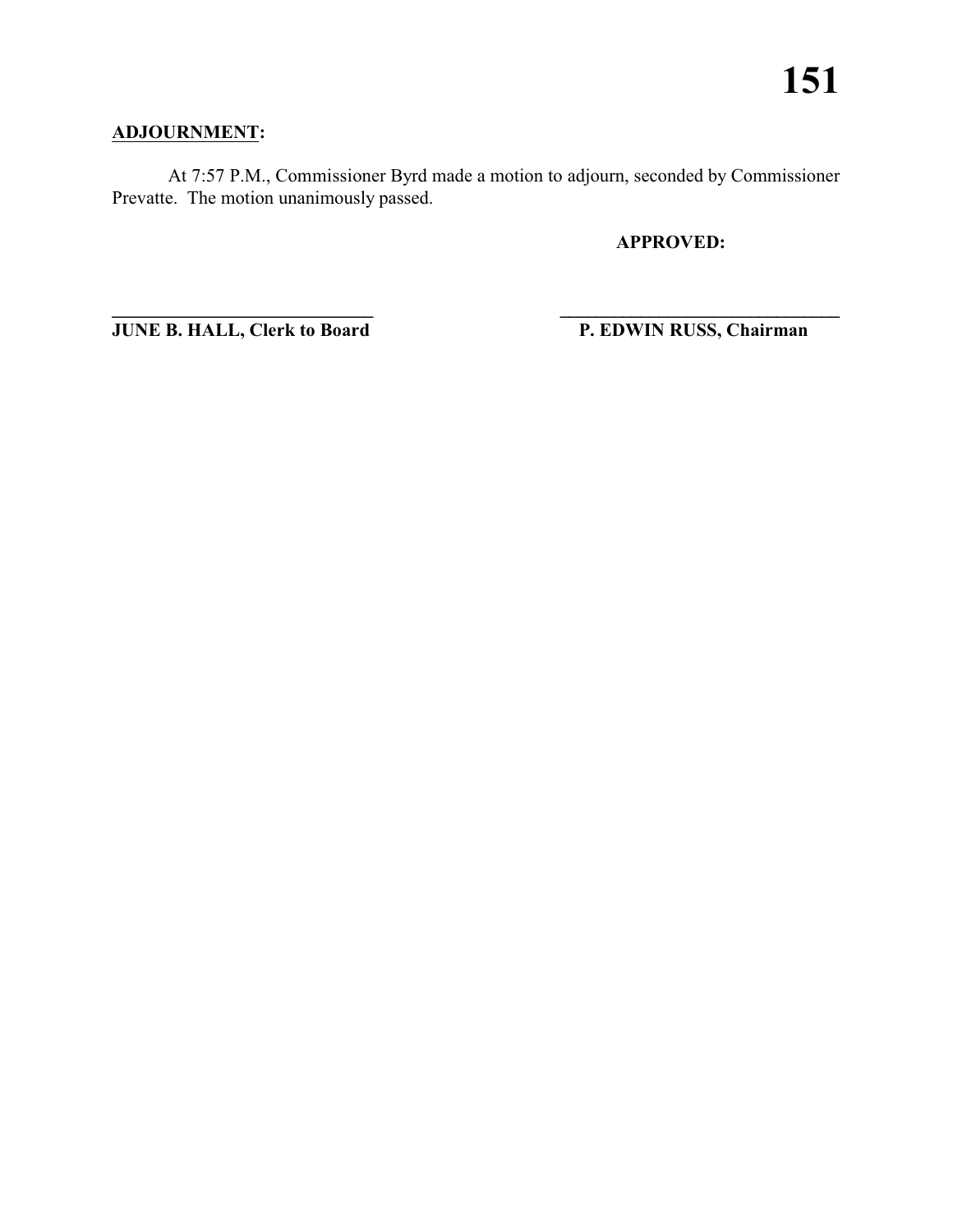### **ADJOURNMENT:**

At 7:57 P.M., Commissioner Byrd made a motion to adjourn, seconded by Commissioner Prevatte. The motion unanimously passed.

**\_\_\_\_\_\_\_\_\_\_\_\_\_\_\_\_\_\_\_\_\_\_\_\_\_\_\_\_ \_\_\_\_\_\_\_\_\_\_\_\_\_\_\_\_\_\_\_\_\_\_\_\_\_\_\_\_\_\_\_**

**APPROVED:**

**JUNE B. HALL, Clerk to Board P. EDWIN RUSS, Chairman**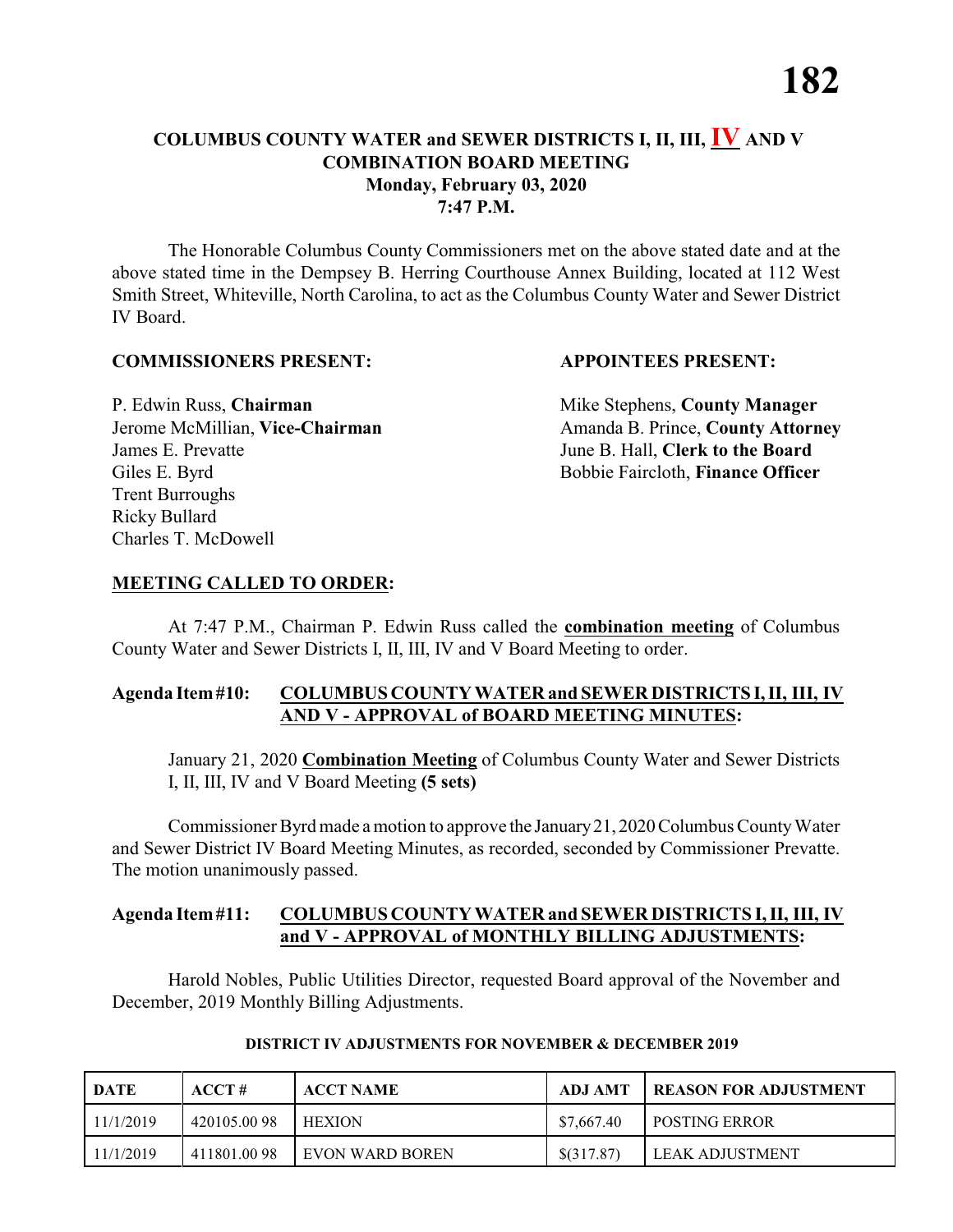The Honorable Columbus County Commissioners met on the above stated date and at the above stated time in the Dempsey B. Herring Courthouse Annex Building, located at 112 West Smith Street, Whiteville, North Carolina, to act as the Columbus County Water and Sewer District IV Board.

#### **COMMISSIONERS PRESENT: APPOINTEES PRESENT:**

P. Edwin Russ, **Chairman** Mike Stephens, **County Manager** James E. Prevatte June B. Hall, **Clerk to the Board** Giles E. Byrd **Bobbie Faircloth, Finance Officer** Trent Burroughs Ricky Bullard Charles T. McDowell

Jerome McMillian, Vice-Chairman Amanda B. Prince, County Attorney

#### **MEETING CALLED TO ORDER:**

At 7:47 P.M., Chairman P. Edwin Russ called the **combination meeting** of Columbus County Water and Sewer Districts I, II, III, IV and V Board Meeting to order.

#### **Agenda Item#10: COLUMBUS COUNTY WATER and SEWER DISTRICTS I,II, III, IV AND V - APPROVAL of BOARD MEETING MINUTES:**

January 21, 2020 **Combination Meeting** of Columbus County Water and Sewer Districts I, II, III, IV and V Board Meeting **(5 sets)**

Commissioner Byrd made a motion to approve the January 21, 2020 Columbus County Water and Sewer District IV Board Meeting Minutes, as recorded, seconded by Commissioner Prevatte. The motion unanimously passed.

#### **Agenda Item#11: COLUMBUS COUNTY WATER and SEWER DISTRICTS I, II, III, IV and V - APPROVAL of MONTHLY BILLING ADJUSTMENTS:**

Harold Nobles, Public Utilities Director, requested Board approval of the November and December, 2019 Monthly Billing Adjustments.

| <b>DATE</b> | ACCT#       | <b>ACCT NAME</b>  | ADJ AMT    | <b>I REASON FOR ADJUSTMENT</b> |
|-------------|-------------|-------------------|------------|--------------------------------|
| 11/1/2019   | 420105.0098 | <b>HEXION</b>     | \$7,667.40 | <b>I POSTING ERROR</b>         |
| 11/1/2019   | 411801.0098 | I EVON WARD BOREN | \$(317.87) | LEAK ADJUSTMENT                |

#### **DISTRICT IV ADJUSTMENTS FOR NOVEMBER & DECEMBER 2019**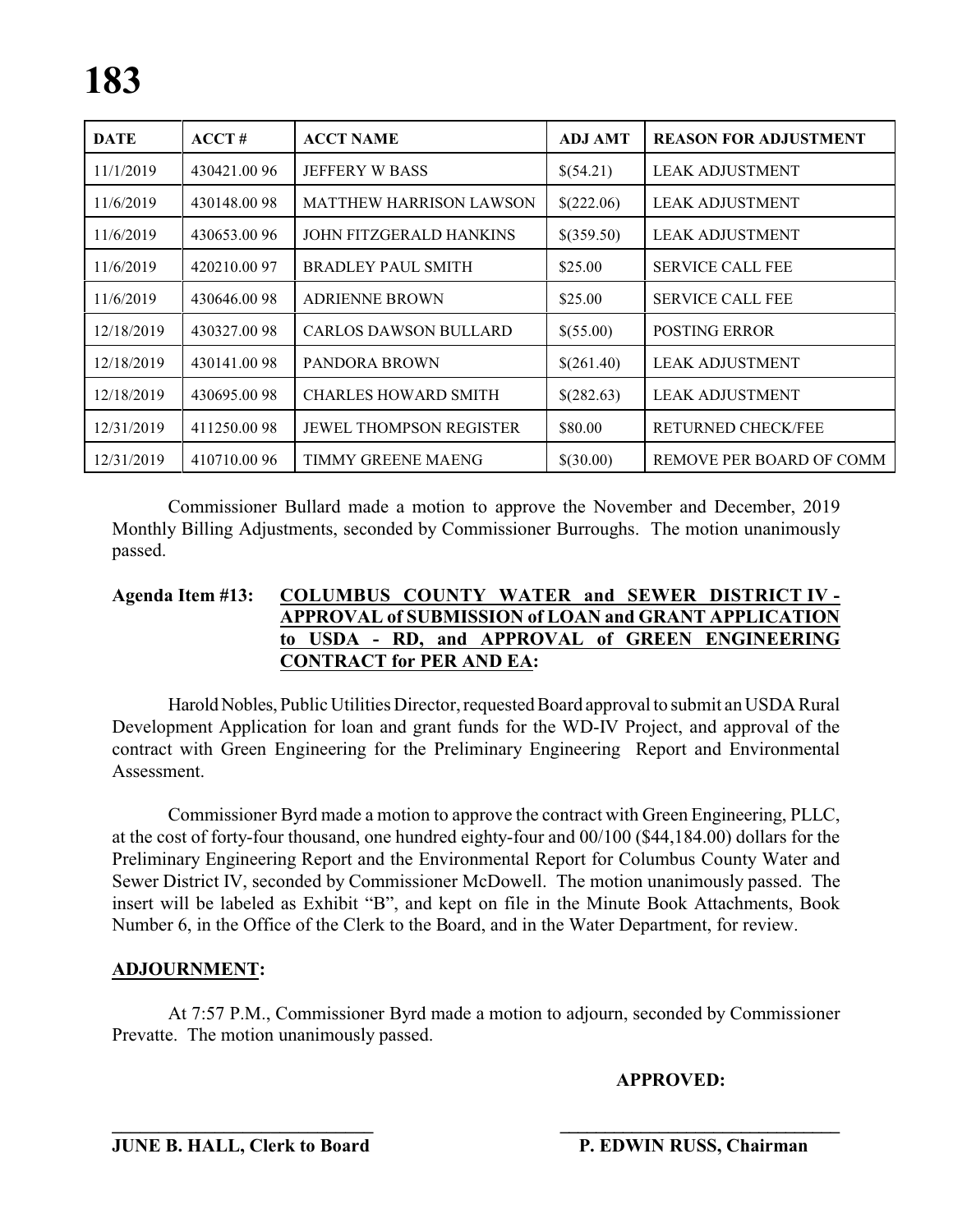| <b>DATE</b> | ACCT#       | <b>ACCT NAME</b>               | <b>ADJ AMT</b> | <b>REASON FOR ADJUSTMENT</b> |
|-------------|-------------|--------------------------------|----------------|------------------------------|
| 11/1/2019   | 430421.0096 | <b>JEFFERY W BASS</b>          | \$(54.21)      | <b>LEAK ADJUSTMENT</b>       |
| 11/6/2019   | 430148.0098 | <b>MATTHEW HARRISON LAWSON</b> | \$(222.06)     | <b>LEAK ADJUSTMENT</b>       |
| 11/6/2019   | 430653.0096 | <b>JOHN FITZGERALD HANKINS</b> | \$(359.50)     | <b>LEAK ADJUSTMENT</b>       |
| 11/6/2019   | 420210.0097 | <b>BRADLEY PAUL SMITH</b>      | \$25.00        | <b>SERVICE CALL FEE</b>      |
| 11/6/2019   | 430646.0098 | <b>ADRIENNE BROWN</b>          | \$25.00        | <b>SERVICE CALL FEE</b>      |
| 12/18/2019  | 430327.0098 | <b>CARLOS DAWSON BULLARD</b>   | \$(55.00)      | <b>POSTING ERROR</b>         |
| 12/18/2019  | 430141.0098 | PANDORA BROWN                  | \$(261.40)     | <b>LEAK ADJUSTMENT</b>       |
| 12/18/2019  | 430695.0098 | <b>CHARLES HOWARD SMITH</b>    | \$(282.63)     | <b>LEAK ADJUSTMENT</b>       |
| 12/31/2019  | 411250.0098 | JEWEL THOMPSON REGISTER        | \$80.00        | <b>RETURNED CHECK/FEE</b>    |
| 12/31/2019  | 410710.0096 | TIMMY GREENE MAENG             | \$(30.00)      | REMOVE PER BOARD OF COMM     |

Commissioner Bullard made a motion to approve the November and December, 2019 Monthly Billing Adjustments, seconded by Commissioner Burroughs. The motion unanimously passed.

#### **Agenda Item #13: COLUMBUS COUNTY WATER and SEWER DISTRICT IV - APPROVAL of SUBMISSION of LOAN and GRANT APPLICATION to USDA - RD, and APPROVAL of GREEN ENGINEERING CONTRACT for PER AND EA:**

HaroldNobles, Public Utilities Director, requested Board approval to submit an USDA Rural Development Application for loan and grant funds for the WD-IV Project, and approval of the contract with Green Engineering for the Preliminary Engineering Report and Environmental Assessment.

Commissioner Byrd made a motion to approve the contract with Green Engineering, PLLC, at the cost of forty-four thousand, one hundred eighty-four and 00/100 (\$44,184.00) dollars for the Preliminary Engineering Report and the Environmental Report for Columbus County Water and Sewer District IV, seconded by Commissioner McDowell. The motion unanimously passed. The insert will be labeled as Exhibit "B", and kept on file in the Minute Book Attachments, Book Number 6, in the Office of the Clerk to the Board, and in the Water Department, for review.

#### **ADJOURNMENT:**

At 7:57 P.M., Commissioner Byrd made a motion to adjourn, seconded by Commissioner Prevatte. The motion unanimously passed.

**APPROVED:**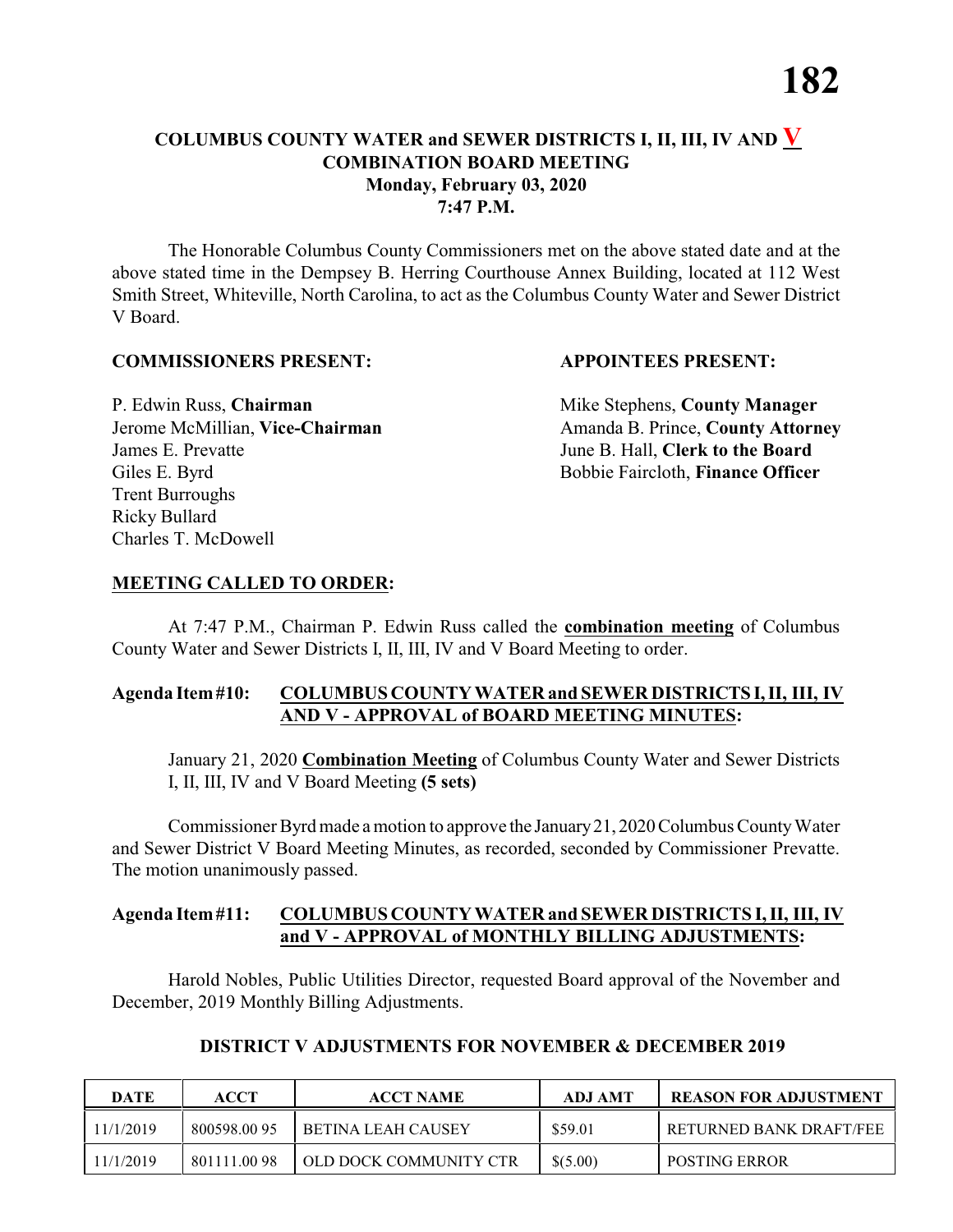The Honorable Columbus County Commissioners met on the above stated date and at the above stated time in the Dempsey B. Herring Courthouse Annex Building, located at 112 West Smith Street, Whiteville, North Carolina, to act as the Columbus County Water and Sewer District V Board.

#### **COMMISSIONERS PRESENT: APPOINTEES PRESENT:**

James E. Prevatte June B. Hall, **Clerk to the Board** Giles E. Byrd **Bobbie Faircloth, Finance Officer** Trent Burroughs Ricky Bullard Charles T. McDowell

P. Edwin Russ, **Chairman** Mike Stephens, **County Manager** Jerome McMillian, Vice-Chairman Amanda B. Prince, County Attorney

#### **MEETING CALLED TO ORDER:**

At 7:47 P.M., Chairman P. Edwin Russ called the **combination meeting** of Columbus County Water and Sewer Districts I, II, III, IV and V Board Meeting to order.

#### **Agenda Item#10: COLUMBUS COUNTY WATER and SEWER DISTRICTS I,II, III, IV AND V - APPROVAL of BOARD MEETING MINUTES:**

January 21, 2020 **Combination Meeting** of Columbus County Water and Sewer Districts I, II, III, IV and V Board Meeting **(5 sets)**

Commissioner Byrd made a motion to approve the January 21, 2020 Columbus County Water and Sewer District V Board Meeting Minutes, as recorded, seconded by Commissioner Prevatte. The motion unanimously passed.

#### **Agenda Item#11: COLUMBUS COUNTY WATER and SEWER DISTRICTS I, II, III, IV and V - APPROVAL of MONTHLY BILLING ADJUSTMENTS:**

Harold Nobles, Public Utilities Director, requested Board approval of the November and December, 2019 Monthly Billing Adjustments.

| <b>DATE</b> | ACCT         | <b>ACCT NAME</b>       | <b>ADJ AMT</b> | <b>REASON FOR ADJUSTMENT</b> |
|-------------|--------------|------------------------|----------------|------------------------------|
| 11/1/2019   | 800598.00 95 | BETINA LEAH CAUSEY     | \$59.01        | I RETURNED BANK DRAFT/FEE    |
| 11/1/2019   | 801111.0098  | OLD DOCK COMMUNITY CTR | \$(5.00)       | <b>POSTING ERROR</b>         |